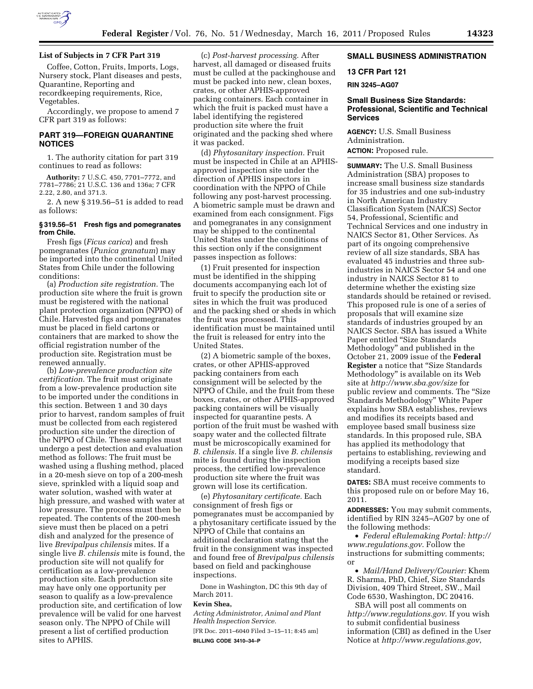

Coffee, Cotton, Fruits, Imports, Logs, Nursery stock, Plant diseases and pests, Quarantine, Reporting and recordkeeping requirements, Rice, Vegetables.

Accordingly, we propose to amend 7 CFR part 319 as follows:

## **PART 319—FOREIGN QUARANTINE NOTICES**

1. The authority citation for part 319 continues to read as follows:

**Authority:** 7 U.S.C. 450, 7701–7772, and 7781–7786; 21 U.S.C. 136 and 136a; 7 CFR 2.22, 2.80, and 371.3.

2. A new § 319.56–51 is added to read as follows:

### **§ 319.56–51 Fresh figs and pomegranates from Chile.**

Fresh figs (*Ficus carica*) and fresh pomegranates (*Punica granatum*) may be imported into the continental United States from Chile under the following conditions:

(a) *Production site registration.* The production site where the fruit is grown must be registered with the national plant protection organization (NPPO) of Chile. Harvested figs and pomegranates must be placed in field cartons or containers that are marked to show the official registration number of the production site. Registration must be renewed annually.

(b) *Low-prevalence production site certification.* The fruit must originate from a low-prevalence production site to be imported under the conditions in this section. Between 1 and 30 days prior to harvest, random samples of fruit must be collected from each registered production site under the direction of the NPPO of Chile. These samples must undergo a pest detection and evaluation method as follows: The fruit must be washed using a flushing method, placed in a 20-mesh sieve on top of a 200-mesh sieve, sprinkled with a liquid soap and water solution, washed with water at high pressure, and washed with water at low pressure. The process must then be repeated. The contents of the 200-mesh sieve must then be placed on a petri dish and analyzed for the presence of live *Brevipalpus chilensis* mites. If a single live *B. chilensis* mite is found, the production site will not qualify for certification as a low-prevalence production site. Each production site may have only one opportunity per season to qualify as a low-prevalence production site, and certification of low prevalence will be valid for one harvest season only. The NPPO of Chile will present a list of certified production sites to APHIS.

(c) *Post-harvest processing.* After harvest, all damaged or diseased fruits must be culled at the packinghouse and must be packed into new, clean boxes, crates, or other APHIS-approved packing containers. Each container in which the fruit is packed must have a label identifying the registered production site where the fruit originated and the packing shed where it was packed.

(d) *Phytosanitary inspection.* Fruit must be inspected in Chile at an APHISapproved inspection site under the direction of APHIS inspectors in coordination with the NPPO of Chile following any post-harvest processing. A biometric sample must be drawn and examined from each consignment. Figs and pomegranates in any consignment may be shipped to the continental United States under the conditions of this section only if the consignment passes inspection as follows:

(1) Fruit presented for inspection must be identified in the shipping documents accompanying each lot of fruit to specify the production site or sites in which the fruit was produced and the packing shed or sheds in which the fruit was processed. This identification must be maintained until the fruit is released for entry into the United States.

(2) A biometric sample of the boxes, crates, or other APHIS-approved packing containers from each consignment will be selected by the NPPO of Chile, and the fruit from these boxes, crates, or other APHIS-approved packing containers will be visually inspected for quarantine pests. A portion of the fruit must be washed with soapy water and the collected filtrate must be microscopically examined for *B. chilensis.* If a single live *B. chilensis*  mite is found during the inspection process, the certified low-prevalence production site where the fruit was grown will lose its certification.

(e) *Phytosanitary certificate.* Each consignment of fresh figs or pomegranates must be accompanied by a phytosanitary certificate issued by the NPPO of Chile that contains an additional declaration stating that the fruit in the consignment was inspected and found free of *Brevipalpus chilensis*  based on field and packinghouse inspections.

Done in Washington, DC this 9th day of March 2011.

#### **Kevin Shea,**

*Acting Administrator, Animal and Plant Health Inspection Service.* 

[FR Doc. 2011–6040 Filed 3–15–11; 8:45 am] **BILLING CODE 3410–34–P** 

# **SMALL BUSINESS ADMINISTRATION**

# **13 CFR Part 121**

**RIN 3245–AG07** 

# **Small Business Size Standards: Professional, Scientific and Technical Services**

**AGENCY:** U.S. Small Business Administration. **ACTION:** Proposed rule.

**SUMMARY:** The U.S. Small Business Administration (SBA) proposes to increase small business size standards for 35 industries and one sub-industry in North American Industry Classification System (NAICS) Sector 54, Professional, Scientific and Technical Services and one industry in NAICS Sector 81, Other Services. As part of its ongoing comprehensive review of all size standards, SBA has evaluated 45 industries and three subindustries in NAICS Sector 54 and one industry in NAICS Sector 81 to determine whether the existing size standards should be retained or revised. This proposed rule is one of a series of proposals that will examine size standards of industries grouped by an NAICS Sector. SBA has issued a White Paper entitled ''Size Standards Methodology'' and published in the October 21, 2009 issue of the **Federal Register** a notice that ''Size Standards Methodology'' is available on its Web site at *<http://www.sba.gov/size>* for public review and comments. The "Size Standards Methodology'' White Paper explains how SBA establishes, reviews and modifies its receipts based and employee based small business size standards. In this proposed rule, SBA has applied its methodology that pertains to establishing, reviewing and modifying a receipts based size standard.

**DATES:** SBA must receive comments to this proposed rule on or before May 16, 2011.

**ADDRESSES:** You may submit comments, identified by RIN 3245–AG07 by one of the following methods:

• *Federal eRulemaking Portal: [http://](http://www.regulations.gov)  [www.regulations.gov](http://www.regulations.gov)*. Follow the instructions for submitting comments; or

• *Mail/Hand Delivery/Courier:* Khem R. Sharma, PhD, Chief, Size Standards Division, 409 Third Street, SW., Mail Code 6530, Washington, DC 20416.

SBA will post all comments on *<http://www.regulations.gov>*. If you wish to submit confidential business information (CBI) as defined in the User Notice at *<http://www.regulations.gov>*,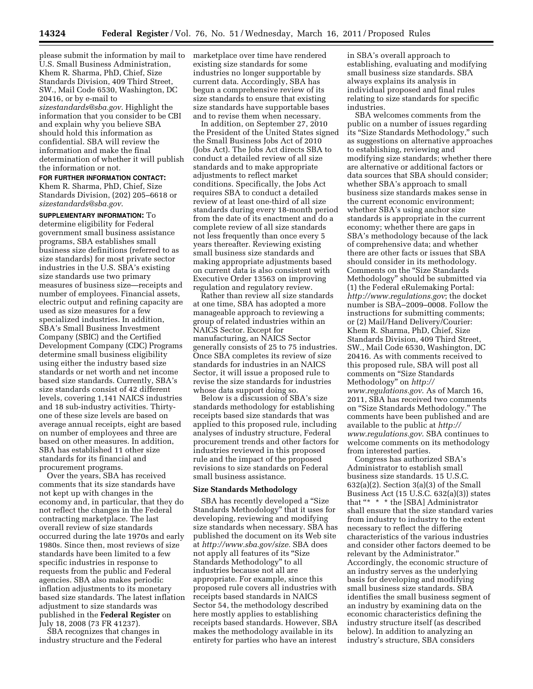please submit the information by mail to U.S. Small Business Administration, Khem R. Sharma, PhD, Chief, Size Standards Division, 409 Third Street, SW., Mail Code 6530, Washington, DC 20416, or by e-mail to *[sizestandards@sba.gov](mailto:sizestandards@sba.gov)*. Highlight the information that you consider to be CBI and explain why you believe SBA should hold this information as confidential. SBA will review the information and make the final determination of whether it will publish the information or not.

# **FOR FURTHER INFORMATION CONTACT:**

Khem R. Sharma, PhD, Chief, Size Standards Division, (202) 205–6618 or *[sizestandards@sba.gov](mailto:sizestandards@sba.gov)*.

**SUPPLEMENTARY INFORMATION:** To determine eligibility for Federal government small business assistance programs, SBA establishes small business size definitions (referred to as size standards) for most private sector industries in the U.S. SBA's existing size standards use two primary measures of business size—receipts and number of employees. Financial assets, electric output and refining capacity are used as size measures for a few specialized industries. In addition, SBA's Small Business Investment Company (SBIC) and the Certified Development Company (CDC) Programs determine small business eligibility using either the industry based size standards or net worth and net income based size standards. Currently, SBA's size standards consist of 42 different levels, covering 1,141 NAICS industries and 18 sub-industry activities. Thirtyone of these size levels are based on average annual receipts, eight are based on number of employees and three are based on other measures. In addition, SBA has established 11 other size standards for its financial and procurement programs.

Over the years, SBA has received comments that its size standards have not kept up with changes in the economy and, in particular, that they do not reflect the changes in the Federal contracting marketplace. The last overall review of size standards occurred during the late 1970s and early 1980s. Since then, most reviews of size standards have been limited to a few specific industries in response to requests from the public and Federal agencies. SBA also makes periodic inflation adjustments to its monetary based size standards. The latest inflation adjustment to size standards was published in the **Federal Register** on July 18, 2008 (73 FR 41237).

SBA recognizes that changes in industry structure and the Federal marketplace over time have rendered existing size standards for some industries no longer supportable by current data. Accordingly, SBA has begun a comprehensive review of its size standards to ensure that existing size standards have supportable bases and to revise them when necessary.

In addition, on September 27, 2010 the President of the United States signed the Small Business Jobs Act of 2010 (Jobs Act). The Jobs Act directs SBA to conduct a detailed review of all size standards and to make appropriate adjustments to reflect market conditions. Specifically, the Jobs Act requires SBA to conduct a detailed review of at least one-third of all size standards during every 18-month period from the date of its enactment and do a complete review of all size standards not less frequently than once every 5 years thereafter. Reviewing existing small business size standards and making appropriate adjustments based on current data is also consistent with Executive Order 13563 on improving regulation and regulatory review.

Rather than review all size standards at one time, SBA has adopted a more manageable approach to reviewing a group of related industries within an NAICS Sector. Except for manufacturing, an NAICS Sector generally consists of 25 to 75 industries. Once SBA completes its review of size standards for industries in an NAICS Sector, it will issue a proposed rule to revise the size standards for industries whose data support doing so.

Below is a discussion of SBA's size standards methodology for establishing receipts based size standards that was applied to this proposed rule, including analyses of industry structure, Federal procurement trends and other factors for industries reviewed in this proposed rule and the impact of the proposed revisions to size standards on Federal small business assistance.

#### **Size Standards Methodology**

SBA has recently developed a ''Size Standards Methodology'' that it uses for developing, reviewing and modifying size standards when necessary. SBA has published the document on its Web site at *[http://www.sba.gov/size.](http://www.sba.gov/size)* SBA does not apply all features of its ''Size Standards Methodology'' to all industries because not all are appropriate. For example, since this proposed rule covers all industries with receipts based standards in NAICS Sector 54, the methodology described here mostly applies to establishing receipts based standards. However, SBA makes the methodology available in its entirety for parties who have an interest

in SBA's overall approach to establishing, evaluating and modifying small business size standards. SBA always explains its analysis in individual proposed and final rules relating to size standards for specific industries.

SBA welcomes comments from the public on a number of issues regarding its ''Size Standards Methodology,'' such as suggestions on alternative approaches to establishing, reviewing and modifying size standards; whether there are alternative or additional factors or data sources that SBA should consider; whether SBA's approach to small business size standards makes sense in the current economic environment; whether SBA's using anchor size standards is appropriate in the current economy; whether there are gaps in SBA's methodology because of the lack of comprehensive data; and whether there are other facts or issues that SBA should consider in its methodology. Comments on the ''Size Standards Methodology'' should be submitted via (1) the Federal eRulemaking Portal: *<http://www.regulations.gov>*; the docket number is SBA–2009–0008. Follow the instructions for submitting comments; or (2) Mail/Hand Delivery/Courier: Khem R. Sharma, PhD, Chief, Size Standards Division, 409 Third Street, SW., Mail Code 6530, Washington, DC 20416. As with comments received to this proposed rule, SBA will post all comments on ''Size Standards Methodology'' on *[http://](http://www.regulations.gov) [www.regulations.gov](http://www.regulations.gov)*. As of March 16, 2011, SBA has received two comments on ''Size Standards Methodology.'' The comments have been published and are available to the public at *[http://](http://www.regulations.gov)  [www.regulations.gov](http://www.regulations.gov)*. SBA continues to welcome comments on its methodology from interested parties.

Congress has authorized SBA's Administrator to establish small business size standards. 15 U.S.C.  $632(a)(2)$ . Section  $3(a)(3)$  of the Small Business Act (15 U.S.C. 632(a)(3)) states that "\* \* \* the [SBA] Administrator shall ensure that the size standard varies from industry to industry to the extent necessary to reflect the differing characteristics of the various industries and consider other factors deemed to be relevant by the Administrator.'' Accordingly, the economic structure of an industry serves as the underlying basis for developing and modifying small business size standards. SBA identifies the small business segment of an industry by examining data on the economic characteristics defining the industry structure itself (as described below). In addition to analyzing an industry's structure, SBA considers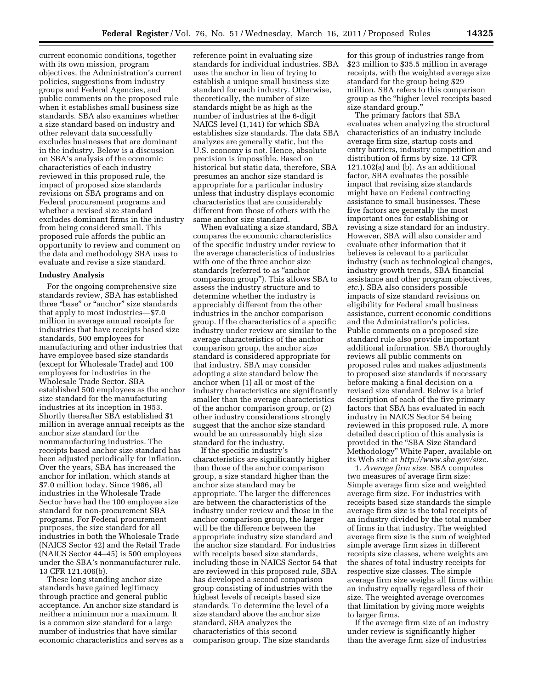current economic conditions, together with its own mission, program objectives, the Administration's current policies, suggestions from industry groups and Federal Agencies, and public comments on the proposed rule when it establishes small business size standards. SBA also examines whether a size standard based on industry and other relevant data successfully excludes businesses that are dominant in the industry. Below is a discussion on SBA's analysis of the economic characteristics of each industry reviewed in this proposed rule, the impact of proposed size standards revisions on SBA programs and on Federal procurement programs and whether a revised size standard excludes dominant firms in the industry from being considered small. This proposed rule affords the public an opportunity to review and comment on the data and methodology SBA uses to evaluate and revise a size standard.

#### **Industry Analysis**

For the ongoing comprehensive size standards review, SBA has established three "base" or "anchor" size standards that apply to most industries—\$7.0 million in average annual receipts for industries that have receipts based size standards, 500 employees for manufacturing and other industries that have employee based size standards (except for Wholesale Trade) and 100 employees for industries in the Wholesale Trade Sector. SBA established 500 employees as the anchor size standard for the manufacturing industries at its inception in 1953. Shortly thereafter SBA established \$1 million in average annual receipts as the anchor size standard for the nonmanufacturing industries. The receipts based anchor size standard has been adjusted periodically for inflation. Over the years, SBA has increased the anchor for inflation, which stands at \$7.0 million today. Since 1986, all industries in the Wholesale Trade Sector have had the 100 employee size standard for non-procurement SBA programs. For Federal procurement purposes, the size standard for all industries in both the Wholesale Trade (NAICS Sector 42) and the Retail Trade (NAICS Sector 44–45) is 500 employees under the SBA's nonmanufacturer rule. 13 CFR 121.406(b).

These long standing anchor size standards have gained legitimacy through practice and general public acceptance. An anchor size standard is neither a minimum nor a maximum. It is a common size standard for a large number of industries that have similar economic characteristics and serves as a reference point in evaluating size standards for individual industries. SBA uses the anchor in lieu of trying to establish a unique small business size standard for each industry. Otherwise, theoretically, the number of size standards might be as high as the number of industries at the 6-digit NAICS level (1,141) for which SBA establishes size standards. The data SBA analyzes are generally static, but the U.S. economy is not. Hence, absolute precision is impossible. Based on historical but static data, therefore, SBA presumes an anchor size standard is appropriate for a particular industry unless that industry displays economic characteristics that are considerably different from those of others with the same anchor size standard.

When evaluating a size standard, SBA compares the economic characteristics of the specific industry under review to the average characteristics of industries with one of the three anchor size standards (referred to as ''anchor comparison group''). This allows SBA to assess the industry structure and to determine whether the industry is appreciably different from the other industries in the anchor comparison group. If the characteristics of a specific industry under review are similar to the average characteristics of the anchor comparison group, the anchor size standard is considered appropriate for that industry. SBA may consider adopting a size standard below the anchor when (1) all or most of the industry characteristics are significantly smaller than the average characteristics of the anchor comparison group, or (2) other industry considerations strongly suggest that the anchor size standard would be an unreasonably high size standard for the industry.

If the specific industry's characteristics are significantly higher than those of the anchor comparison group, a size standard higher than the anchor size standard may be appropriate. The larger the differences are between the characteristics of the industry under review and those in the anchor comparison group, the larger will be the difference between the appropriate industry size standard and the anchor size standard. For industries with receipts based size standards, including those in NAICS Sector 54 that are reviewed in this proposed rule, SBA has developed a second comparison group consisting of industries with the highest levels of receipts based size standards. To determine the level of a size standard above the anchor size standard, SBA analyzes the characteristics of this second comparison group. The size standards

for this group of industries range from \$23 million to \$35.5 million in average receipts, with the weighted average size standard for the group being \$29 million. SBA refers to this comparison group as the ''higher level receipts based size standard group.''

The primary factors that SBA evaluates when analyzing the structural characteristics of an industry include average firm size, startup costs and entry barriers, industry competition and distribution of firms by size. 13 CFR 121.102(a) and (b). As an additional factor, SBA evaluates the possible impact that revising size standards might have on Federal contracting assistance to small businesses. These five factors are generally the most important ones for establishing or revising a size standard for an industry. However, SBA will also consider and evaluate other information that it believes is relevant to a particular industry (such as technological changes, industry growth trends, SBA financial assistance and other program objectives, *etc.*). SBA also considers possible impacts of size standard revisions on eligibility for Federal small business assistance, current economic conditions and the Administration's policies. Public comments on a proposed size standard rule also provide important additional information. SBA thoroughly reviews all public comments on proposed rules and makes adjustments to proposed size standards if necessary before making a final decision on a revised size standard. Below is a brief description of each of the five primary factors that SBA has evaluated in each industry in NAICS Sector 54 being reviewed in this proposed rule. A more detailed description of this analysis is provided in the ''SBA Size Standard Methodology'' White Paper, available on its Web site at *<http://www.sba.gov/size>*.

1. *Average firm size.* SBA computes two measures of average firm size: Simple average firm size and weighted average firm size. For industries with receipts based size standards the simple average firm size is the total receipts of an industry divided by the total number of firms in that industry. The weighted average firm size is the sum of weighted simple average firm sizes in different receipts size classes, where weights are the shares of total industry receipts for respective size classes. The simple average firm size weighs all firms within an industry equally regardless of their size. The weighted average overcomes that limitation by giving more weights to larger firms.

If the average firm size of an industry under review is significantly higher than the average firm size of industries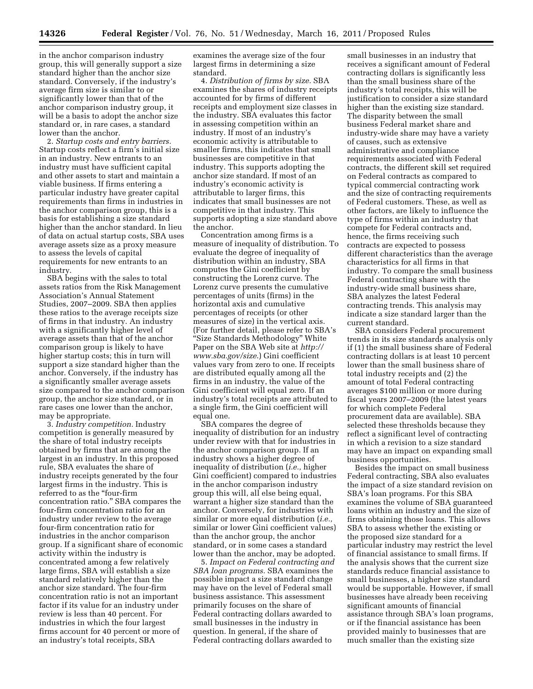in the anchor comparison industry group, this will generally support a size standard higher than the anchor size standard. Conversely, if the industry's average firm size is similar to or significantly lower than that of the anchor comparison industry group, it will be a basis to adopt the anchor size standard or, in rare cases, a standard lower than the anchor.

2. *Startup costs and entry barriers.*  Startup costs reflect a firm's initial size in an industry. New entrants to an industry must have sufficient capital and other assets to start and maintain a viable business. If firms entering a particular industry have greater capital requirements than firms in industries in the anchor comparison group, this is a basis for establishing a size standard higher than the anchor standard. In lieu of data on actual startup costs, SBA uses average assets size as a proxy measure to assess the levels of capital requirements for new entrants to an industry.

SBA begins with the sales to total assets ratios from the Risk Management Association's Annual Statement Studies, 2007–2009. SBA then applies these ratios to the average receipts size of firms in that industry. An industry with a significantly higher level of average assets than that of the anchor comparison group is likely to have higher startup costs; this in turn will support a size standard higher than the anchor. Conversely, if the industry has a significantly smaller average assets size compared to the anchor comparison group, the anchor size standard, or in rare cases one lower than the anchor, may be appropriate.

3. *Industry competition.* Industry competition is generally measured by the share of total industry receipts obtained by firms that are among the largest in an industry. In this proposed rule, SBA evaluates the share of industry receipts generated by the four largest firms in the industry. This is referred to as the ''four-firm concentration ratio.'' SBA compares the four-firm concentration ratio for an industry under review to the average four-firm concentration ratio for industries in the anchor comparison group. If a significant share of economic activity within the industry is concentrated among a few relatively large firms, SBA will establish a size standard relatively higher than the anchor size standard. The four-firm concentration ratio is not an important factor if its value for an industry under review is less than 40 percent. For industries in which the four largest firms account for 40 percent or more of an industry's total receipts, SBA

examines the average size of the four largest firms in determining a size standard.

4. *Distribution of firms by size.* SBA examines the shares of industry receipts accounted for by firms of different receipts and employment size classes in the industry. SBA evaluates this factor in assessing competition within an industry. If most of an industry's economic activity is attributable to smaller firms, this indicates that small businesses are competitive in that industry. This supports adopting the anchor size standard. If most of an industry's economic activity is attributable to larger firms, this indicates that small businesses are not competitive in that industry. This supports adopting a size standard above the anchor.

Concentration among firms is a measure of inequality of distribution. To evaluate the degree of inequality of distribution within an industry, SBA computes the Gini coefficient by constructing the Lorenz curve. The Lorenz curve presents the cumulative percentages of units (firms) in the horizontal axis and cumulative percentages of receipts (or other measures of size) in the vertical axis. (For further detail, please refer to SBA's ''Size Standards Methodology'' White Paper on the SBA Web site at *[http://](http://www.sba.gov/size)  [www.sba.gov/size](http://www.sba.gov/size)*.) Gini coefficient values vary from zero to one. If receipts are distributed equally among all the firms in an industry, the value of the Gini coefficient will equal zero. If an industry's total receipts are attributed to a single firm, the Gini coefficient will equal one.

SBA compares the degree of inequality of distribution for an industry under review with that for industries in the anchor comparison group. If an industry shows a higher degree of inequality of distribution (*i.e.,* higher Gini coefficient) compared to industries in the anchor comparison industry group this will, all else being equal, warrant a higher size standard than the anchor. Conversely, for industries with similar or more equal distribution (*i.e.,*  similar or lower Gini coefficient values) than the anchor group, the anchor standard, or in some cases a standard lower than the anchor, may be adopted.

5. *Impact on Federal contracting and SBA loan programs.* SBA examines the possible impact a size standard change may have on the level of Federal small business assistance. This assessment primarily focuses on the share of Federal contracting dollars awarded to small businesses in the industry in question. In general, if the share of Federal contracting dollars awarded to

small businesses in an industry that receives a significant amount of Federal contracting dollars is significantly less than the small business share of the industry's total receipts, this will be justification to consider a size standard higher than the existing size standard. The disparity between the small business Federal market share and industry-wide share may have a variety of causes, such as extensive administrative and compliance requirements associated with Federal contracts, the different skill set required on Federal contracts as compared to typical commercial contracting work and the size of contracting requirements of Federal customers. These, as well as other factors, are likely to influence the type of firms within an industry that compete for Federal contracts and, hence, the firms receiving such contracts are expected to possess different characteristics than the average characteristics for all firms in that industry. To compare the small business Federal contracting share with the industry-wide small business share, SBA analyzes the latest Federal contracting trends. This analysis may indicate a size standard larger than the current standard.

SBA considers Federal procurement trends in its size standards analysis only if (1) the small business share of Federal contracting dollars is at least 10 percent lower than the small business share of total industry receipts and (2) the amount of total Federal contracting averages \$100 million or more during fiscal years 2007–2009 (the latest years for which complete Federal procurement data are available). SBA selected these thresholds because they reflect a significant level of contracting in which a revision to a size standard may have an impact on expanding small business opportunities.

Besides the impact on small business Federal contracting, SBA also evaluates the impact of a size standard revision on SBA's loan programs. For this SBA examines the volume of SBA guaranteed loans within an industry and the size of firms obtaining those loans. This allows SBA to assess whether the existing or the proposed size standard for a particular industry may restrict the level of financial assistance to small firms. If the analysis shows that the current size standards reduce financial assistance to small businesses, a higher size standard would be supportable. However, if small businesses have already been receiving significant amounts of financial assistance through SBA's loan programs, or if the financial assistance has been provided mainly to businesses that are much smaller than the existing size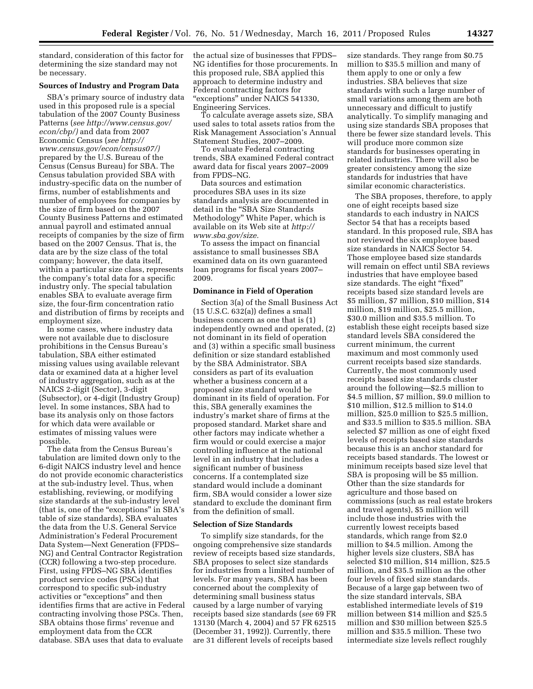standard, consideration of this factor for determining the size standard may not be necessary.

### **Sources of Industry and Program Data**

SBA's primary source of industry data used in this proposed rule is a special tabulation of the 2007 County Business Patterns (*see [http://www.census.gov/](http://www.census.gov/econ/cbp/) [econ/cbp/\)](http://www.census.gov/econ/cbp/)* and data from 2007 Economic Census (*see [http://](http://www.census.gov/econ/census07/) [www.census.gov/econ/census07/\)](http://www.census.gov/econ/census07/)*  prepared by the U.S. Bureau of the Census (Census Bureau) for SBA. The Census tabulation provided SBA with industry-specific data on the number of firms, number of establishments and number of employees for companies by the size of firm based on the 2007 County Business Patterns and estimated annual payroll and estimated annual receipts of companies by the size of firm based on the 2007 Census. That is, the data are by the size class of the total company; however, the data itself, within a particular size class, represents the company's total data for a specific industry only. The special tabulation enables SBA to evaluate average firm size, the four-firm concentration ratio and distribution of firms by receipts and employment size.

In some cases, where industry data were not available due to disclosure prohibitions in the Census Bureau's tabulation, SBA either estimated missing values using available relevant data or examined data at a higher level of industry aggregation, such as at the NAICS 2-digit (Sector), 3-digit (Subsector), or 4-digit (Industry Group) level. In some instances, SBA had to base its analysis only on those factors for which data were available or estimates of missing values were possible.

The data from the Census Bureau's tabulation are limited down only to the 6-digit NAICS industry level and hence do not provide economic characteristics at the sub-industry level. Thus, when establishing, reviewing, or modifying size standards at the sub-industry level (that is, one of the "exceptions" in SBA's table of size standards), SBA evaluates the data from the U.S. General Service Administration's Federal Procurement Data System—Next Generation (FPDS– NG) and Central Contractor Registration (CCR) following a two-step procedure. First, using FPDS–NG SBA identifies product service codes (PSCs) that correspond to specific sub-industry activities or "exceptions" and then identifies firms that are active in Federal contracting involving those PSCs. Then, SBA obtains those firms' revenue and employment data from the CCR database. SBA uses that data to evaluate

the actual size of businesses that FPDS– NG identifies for those procurements. In this proposed rule, SBA applied this approach to determine industry and Federal contracting factors for ''exceptions'' under NAICS 541330, Engineering Services.

To calculate average assets size, SBA used sales to total assets ratios from the Risk Management Association's Annual Statement Studies, 2007–2009.

To evaluate Federal contracting trends, SBA examined Federal contract award data for fiscal years 2007–2009 from FPDS–NG.

Data sources and estimation procedures SBA uses in its size standards analysis are documented in detail in the "SBA Size Standards Methodology'' White Paper, which is available on its Web site at *[http://](http://www.sba.gov/size) [www.sba.gov/size.](http://www.sba.gov/size)* 

To assess the impact on financial assistance to small businesses SBA examined data on its own guaranteed loan programs for fiscal years 2007– 2009.

#### **Dominance in Field of Operation**

Section 3(a) of the Small Business Act (15 U.S.C. 632(a)) defines a small business concern as one that is (1) independently owned and operated, (2) not dominant in its field of operation and (3) within a specific small business definition or size standard established by the SBA Administrator. SBA considers as part of its evaluation whether a business concern at a proposed size standard would be dominant in its field of operation. For this, SBA generally examines the industry's market share of firms at the proposed standard. Market share and other factors may indicate whether a firm would or could exercise a major controlling influence at the national level in an industry that includes a significant number of business concerns. If a contemplated size standard would include a dominant firm, SBA would consider a lower size standard to exclude the dominant firm from the definition of small.

#### **Selection of Size Standards**

To simplify size standards, for the ongoing comprehensive size standards review of receipts based size standards, SBA proposes to select size standards for industries from a limited number of levels. For many years, SBA has been concerned about the complexity of determining small business status caused by a large number of varying receipts based size standards (*see* 69 FR 13130 (March 4, 2004) and 57 FR 62515 (December 31, 1992)). Currently, there are 31 different levels of receipts based

size standards. They range from \$0.75 million to \$35.5 million and many of them apply to one or only a few industries. SBA believes that size standards with such a large number of small variations among them are both unnecessary and difficult to justify analytically. To simplify managing and using size standards SBA proposes that there be fewer size standard levels. This will produce more common size standards for businesses operating in related industries. There will also be greater consistency among the size standards for industries that have similar economic characteristics.

The SBA proposes, therefore, to apply one of eight receipts based size standards to each industry in NAICS Sector 54 that has a receipts based standard. In this proposed rule, SBA has not reviewed the six employee based size standards in NAICS Sector 54. Those employee based size standards will remain on effect until SBA reviews industries that have employee based size standards. The eight "fixed" receipts based size standard levels are \$5 million, \$7 million, \$10 million, \$14 million, \$19 million, \$25.5 million, \$30.0 million and \$35.5 million. To establish these eight receipts based size standard levels SBA considered the current minimum, the current maximum and most commonly used current receipts based size standards. Currently, the most commonly used receipts based size standards cluster around the following—\$2.5 million to \$4.5 million, \$7 million, \$9.0 million to \$10 million, \$12.5 million to \$14.0 million, \$25.0 million to \$25.5 million, and \$33.5 million to \$35.5 million. SBA selected \$7 million as one of eight fixed levels of receipts based size standards because this is an anchor standard for receipts based standards. The lowest or minimum receipts based size level that SBA is proposing will be \$5 million. Other than the size standards for agriculture and those based on commissions (such as real estate brokers and travel agents), \$5 million will include those industries with the currently lowest receipts based standards, which range from \$2.0 million to \$4.5 million. Among the higher levels size clusters, SBA has selected \$10 million, \$14 million, \$25.5 million, and \$35.5 million as the other four levels of fixed size standards. Because of a large gap between two of the size standard intervals, SBA established intermediate levels of \$19 million between \$14 million and \$25.5 million and \$30 million between \$25.5 million and \$35.5 million. These two intermediate size levels reflect roughly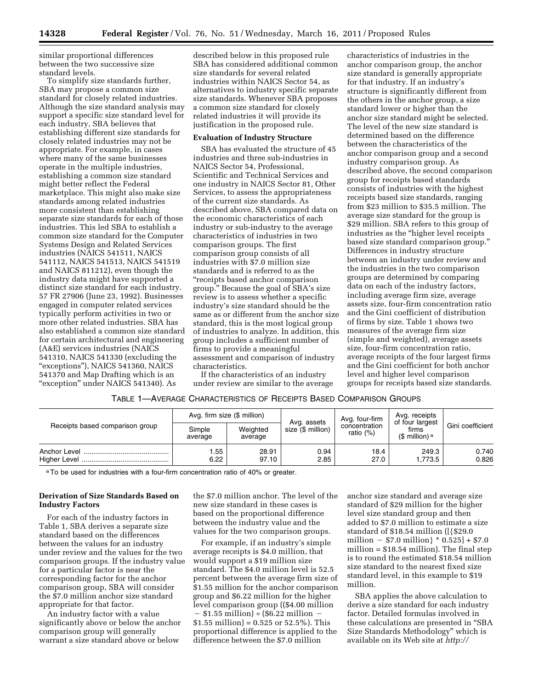similar proportional differences between the two successive size standard levels.

To simplify size standards further, SBA may propose a common size standard for closely related industries. Although the size standard analysis may support a specific size standard level for each industry, SBA believes that establishing different size standards for closely related industries may not be appropriate. For example, in cases where many of the same businesses operate in the multiple industries, establishing a common size standard might better reflect the Federal marketplace. This might also make size standards among related industries more consistent than establishing separate size standards for each of those industries. This led SBA to establish a common size standard for the Computer Systems Design and Related Services industries (NAICS 541511, NAICS 541112, NAICS 541513, NAICS 541519 and NAICS 811212), even though the industry data might have supported a distinct size standard for each industry. 57 FR 27906 (June 23, 1992). Businesses engaged in computer related services typically perform activities in two or more other related industries. SBA has also established a common size standard for certain architectural and engineering (A&E) services industries (NAICS 541310, NAICS 541330 (excluding the "exceptions"), NAICS 541360, NAICS 541370 and Map Drafting which is an "exception" under NAICS 541340). As

described below in this proposed rule SBA has considered additional common size standards for several related industries within NAICS Sector 54, as alternatives to industry specific separate size standards. Whenever SBA proposes a common size standard for closely related industries it will provide its justification in the proposed rule.

## **Evaluation of Industry Structure**

SBA has evaluated the structure of 45 industries and three sub-industries in NAICS Sector 54, Professional, Scientific and Technical Services and one industry in NAICS Sector 81, Other Services, to assess the appropriateness of the current size standards. As described above, SBA compared data on the economic characteristics of each industry or sub-industry to the average characteristics of industries in two comparison groups. The first comparison group consists of all industries with \$7.0 million size standards and is referred to as the ''receipts based anchor comparison group.'' Because the goal of SBA's size review is to assess whether a specific industry's size standard should be the same as or different from the anchor size standard, this is the most logical group of industries to analyze. In addition, this group includes a sufficient number of firms to provide a meaningful assessment and comparison of industry characteristics.

If the characteristics of an industry under review are similar to the average

characteristics of industries in the anchor comparison group, the anchor size standard is generally appropriate for that industry. If an industry's structure is significantly different from the others in the anchor group, a size standard lower or higher than the anchor size standard might be selected. The level of the new size standard is determined based on the difference between the characteristics of the anchor comparison group and a second industry comparison group. As described above, the second comparison group for receipts based standards consists of industries with the highest receipts based size standards, ranging from \$23 million to \$35.5 million. The average size standard for the group is \$29 million. SBA refers to this group of industries as the "higher level receipts" based size standard comparison group.'' Differences in industry structure between an industry under review and the industries in the two comparison groups are determined by comparing data on each of the industry factors, including average firm size, average assets size, four-firm concentration ratio and the Gini coefficient of distribution of firms by size. Table 1 shows two measures of the average firm size (simple and weighted), average assets size, four-firm concentration ratio, average receipts of the four largest firms and the Gini coefficient for both anchor level and higher level comparison groups for receipts based size standards.

| TABLE 1-AVERAGE CHARACTERISTICS OF RECEIPTS BASED COMPARISON GROUPS |  |
|---------------------------------------------------------------------|--|
|---------------------------------------------------------------------|--|

|                                 |                   | Avg. firm size (\$ million) |                                  | Avg. four-firm               | Avg. receipts<br>of four largest | Gini coefficient |
|---------------------------------|-------------------|-----------------------------|----------------------------------|------------------------------|----------------------------------|------------------|
| Receipts based comparison group | Simple<br>average | Weighted<br>average         | Avg. assets<br>size (\$ million) | concentration<br>ratio $(%)$ | firms<br>(\$ million) $a$        |                  |
| Anchor Level                    | .55<br>6.22       | 28.91<br>97.10              | 0.94<br>2.85                     | 18.4<br>27.0                 | 249.3<br>1.773.5                 | 0.740<br>0.826   |

<sup>a</sup>To be used for industries with a four-firm concentration ratio of 40% or greater.

## **Derivation of Size Standards Based on Industry Factors**

For each of the industry factors in Table 1, SBA derives a separate size standard based on the differences between the values for an industry under review and the values for the two comparison groups. If the industry value for a particular factor is near the corresponding factor for the anchor comparison group, SBA will consider the \$7.0 million anchor size standard appropriate for that factor.

An industry factor with a value significantly above or below the anchor comparison group will generally warrant a size standard above or below

the \$7.0 million anchor. The level of the new size standard in these cases is based on the proportional difference between the industry value and the values for the two comparison groups.

For example, if an industry's simple average receipts is \$4.0 million, that would support a \$19 million size standard. The \$4.0 million level is 52.5 percent between the average firm size of \$1.55 million for the anchor comparison group and \$6.22 million for the higher level comparison group ((\$4.00 million  $$1.55$  million) ÷ (\$6.22 million –  $$1.55 \text{ million}$  = 0.525 or 52.5%). This proportional difference is applied to the difference between the \$7.0 million

anchor size standard and average size standard of \$29 million for the higher level size standard group and then added to \$7.0 million to estimate a size standard of \$18.54 million ([{\$29.0 million  $-$  \$7.0 million}  $*$  0.525] + \$7.0 million = \$18.54 million). The final step is to round the estimated \$18.54 million size standard to the nearest fixed size standard level, in this example to \$19 million.

SBA applies the above calculation to derive a size standard for each industry factor. Detailed formulas involved in these calculations are presented in ''SBA Size Standards Methodology'' which is available on its Web site at *http://*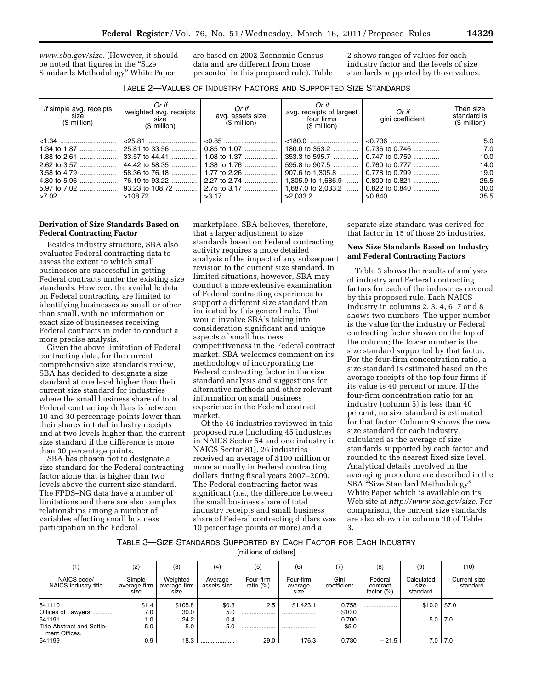*[www.sba.gov/size.](http://www.sba.gov/size)* (However, it should be noted that figures in the ''Size Standards Methodology'' White Paper

are based on 2002 Economic Census data and are different from those presented in this proposed rule). Table 2 shows ranges of values for each industry factor and the levels of size standards supported by those values.

| TABLE 2-VALUES OF INDUSTRY FACTORS AND SUPPORTED SIZE STANDARDS |
|-----------------------------------------------------------------|
|-----------------------------------------------------------------|

| If simple avg. receipts<br>size<br>$$$ million) | Or if<br>weighted avg. receipts<br>size<br>$$$ million)                                 | Or if<br>avg. assets size<br>$($ \$ million)                                                                   | Or if<br>avg. receipts of largest<br>four firms<br>$$$ million)                                                    | Or if<br>gini coefficient                                                                                    | Then size<br>standard is<br>$$$ million)           |
|-------------------------------------------------|-----------------------------------------------------------------------------------------|----------------------------------------------------------------------------------------------------------------|--------------------------------------------------------------------------------------------------------------------|--------------------------------------------------------------------------------------------------------------|----------------------------------------------------|
| $3.58$ to 4.79<br>4.80 to 5.96                  | 33.57 to 44.41<br>44.42 to 58.35<br>58.36 to 76.18<br>76.19 to 93.22<br>93.23 to 108.72 | $< 0.85$<br>0.85 to 1.07<br>  1.08 to 1.37<br>1.38 to 1.76<br>  1.77 to 2.26<br>  2.27 to 2.74<br>2.75 to 3.17 | 180.0 to 353.2<br>353.3 to 595.7<br>595.8 to 907.5<br>907.6 to 1,305.8<br>1.305.9 to 1.686.9<br>1.687.0 to 2.033.2 | 0.736 to 0.746<br>0.747 to 0.759<br>0.760 to 0.777<br>0.778 to 0.799<br>$0.800$ to $0.821$<br>0.822 to 0.840 | 5.0<br>7.0<br>10.0<br>14.0<br>19.0<br>25.5<br>30.0 |
|                                                 |                                                                                         |                                                                                                                |                                                                                                                    |                                                                                                              | 35.5                                               |

## **Derivation of Size Standards Based on Federal Contracting Factor**

Besides industry structure, SBA also evaluates Federal contracting data to assess the extent to which small businesses are successful in getting Federal contracts under the existing size standards. However, the available data on Federal contracting are limited to identifying businesses as small or other than small, with no information on exact size of businesses receiving Federal contracts in order to conduct a more precise analysis.

Given the above limitation of Federal contracting data, for the current comprehensive size standards review, SBA has decided to designate a size standard at one level higher than their current size standard for industries where the small business share of total Federal contracting dollars is between 10 and 30 percentage points lower than their shares in total industry receipts and at two levels higher than the current size standard if the difference is more than 30 percentage points.

SBA has chosen not to designate a size standard for the Federal contracting factor alone that is higher than two levels above the current size standard. The FPDS–NG data have a number of limitations and there are also complex relationships among a number of variables affecting small business participation in the Federal

marketplace. SBA believes, therefore, that a larger adjustment to size standards based on Federal contracting activity requires a more detailed analysis of the impact of any subsequent revision to the current size standard. In limited situations, however, SBA may conduct a more extensive examination of Federal contracting experience to support a different size standard than indicated by this general rule. That would involve SBA's taking into consideration significant and unique aspects of small business competitiveness in the Federal contract market. SBA welcomes comment on its methodology of incorporating the Federal contracting factor in the size standard analysis and suggestions for alternative methods and other relevant information on small business experience in the Federal contract market.

Of the 46 industries reviewed in this proposed rule (including 45 industries in NAICS Sector 54 and one industry in NAICS Sector 81), 26 industries received an average of \$100 million or more annually in Federal contracting dollars during fiscal years 2007–2009. The Federal contracting factor was significant (*i.e.,* the difference between the small business share of total industry receipts and small business share of Federal contracting dollars was 10 percentage points or more) and a

separate size standard was derived for that factor in 15 of those 26 industries.

### **New Size Standards Based on Industry and Federal Contracting Factors**

Table 3 shows the results of analyses of industry and Federal contracting factors for each of the industries covered by this proposed rule. Each NAICS Industry in columns 2, 3, 4, 6, 7 and 8 shows two numbers. The upper number is the value for the industry or Federal contracting factor shown on the top of the column; the lower number is the size standard supported by that factor. For the four-firm concentration ratio, a size standard is estimated based on the average receipts of the top four firms if its value is 40 percent or more. If the four-firm concentration ratio for an industry (column 5) is less than 40 percent, no size standard is estimated for that factor. Column 9 shows the new size standard for each industry, calculated as the average of size standards supported by each factor and rounded to the nearest fixed size level. Analytical details involved in the averaging procedure are described in the SBA ''Size Standard Methodology'' White Paper which is available on its Web site at *[http://www.sba.gov/size.](http://www.sba.gov/size)* For comparison, the current size standards are also shown in column 10 of Table 3.

# TABLE 3—SIZE STANDARDS SUPPORTED BY EACH FACTOR FOR EACH INDUSTRY

[millions of dollars]

| (1)                                         | (2)                            | (3)                              | (4)                    | (5)                       | (6)                          | (7)                 | (8)                                  | (9)                            | (10)                     |
|---------------------------------------------|--------------------------------|----------------------------------|------------------------|---------------------------|------------------------------|---------------------|--------------------------------------|--------------------------------|--------------------------|
| NAICS code/<br>NAICS industry title         | Simple<br>average firm<br>size | Weighted<br>average firm<br>size | Average<br>assets size | Four-firm<br>ratio $(\%)$ | Four-firm<br>average<br>size | Gini<br>coefficient | Federal<br>contract<br>factor $(\%)$ | Calculated<br>size<br>standard | Current size<br>standard |
| 541110                                      | \$1.4                          | \$105.8                          | \$0.3                  | 2.5                       | \$1,423.1                    | 0.758               |                                      | \$10.0                         | \$7.0                    |
| Offices of Lawyers                          | 7.0                            | 30.0                             | 5.0                    |                           |                              | \$10.0              |                                      |                                |                          |
| 541191                                      | 1.0                            | 24.2                             | 0.4                    |                           |                              | 0.700               |                                      | 5.0                            | 7.0                      |
| Title Abstract and Settle-<br>ment Offices. | 5.0                            | 5.0                              | 5.0                    |                           |                              | \$5.0               |                                      |                                |                          |
| 541199                                      | 0.9                            | 18.3                             |                        | 29.0                      | 176.3                        | 0.730               | $-21.5$                              | 7.0                            | 7.0                      |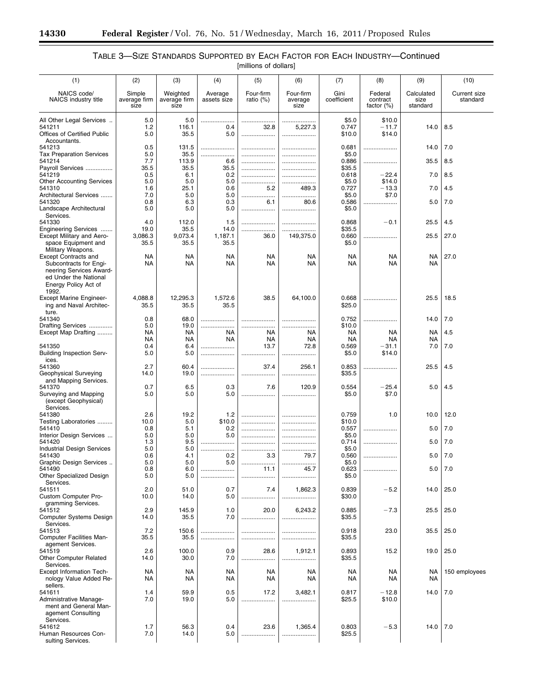-

# TABLE 3—SIZE STANDARDS SUPPORTED BY EACH FACTOR FOR EACH INDUSTRY—Continued [millions of dollars]

| (1)                                                                                                                                        | (2)                            | (3)                              | (4)                    | (5)                       | (6)                          | (7)                      | (8)                               | (9)                            | (10)                            |
|--------------------------------------------------------------------------------------------------------------------------------------------|--------------------------------|----------------------------------|------------------------|---------------------------|------------------------------|--------------------------|-----------------------------------|--------------------------------|---------------------------------|
| NAICS code/<br>NAICS industry title                                                                                                        | Simple<br>average firm<br>size | Weighted<br>average firm<br>size | Average<br>assets size | Four-firm<br>ratio $(\%)$ | Four-firm<br>average<br>size | Gini<br>coefficient      | Federal<br>contract<br>factor (%) | Calculated<br>size<br>standard | <b>Current size</b><br>standard |
| All Other Legal Services<br>541211<br><b>Offices of Certified Public</b>                                                                   | 5.0<br>1.2<br>5.0              | 5.0<br>116.1<br>35.5             | .<br>0.4<br>5.0        | <br>32.8<br>              | <br>5,227.3<br>.             | \$5.0<br>0.747<br>\$10.0 | \$10.0<br>$-11.7$<br>\$14.0       | 14.0                           | 8.5                             |
| Accountants.<br>541213                                                                                                                     | 0.5                            | 131.5                            |                        |                           |                              | 0.681                    |                                   | 14.0                           | 7.0                             |
| <b>Tax Preparation Services</b><br>541214                                                                                                  | 5.0<br>7.7                     | 35.5<br>113.9                    | .<br>6.6               |                           |                              | \$5.0<br>0.886           | .                                 | 35.5                           | 8.5                             |
| Payroll Services<br>541219                                                                                                                 | 35.5<br>0.5                    | 35.5<br>6.1                      | 35.5<br>0.2            |                           | .                            | \$35.5<br>0.618          | $-22.4$                           | 7.0                            | 8.5                             |
| Other Accounting Services<br>541310                                                                                                        | 5.0<br>1.6                     | 5.0<br>25.1                      | 5.0<br>0.6             | <br>5.2                   | .<br>489.3                   | \$5.0<br>0.727           | \$14.0<br>$-13.3$                 | 7.0                            | 4.5                             |
| Architectural Services<br>541320                                                                                                           | 7.0<br>0.8                     | 5.0<br>6.3                       | 5.0<br>0.3             | <br>6.1                   | <br>80.6                     | \$5.0<br>0.586           | \$7.0<br>.                        | 5.0                            | 7.0                             |
| Landscape Architectural<br>Services.                                                                                                       | 5.0                            | 5.0                              | 5.0                    |                           |                              | \$5.0                    |                                   |                                |                                 |
| 541330<br>Engineering Services                                                                                                             | 4.0<br>19.0                    | 112.0<br>35.5                    | 1.5<br>14.0            | <br>.                     |                              | 0.868<br>\$35.5          | $-0.1$                            | 25.5                           | 4.5                             |
| Except Military and Aero-<br>space Equipment and<br>Military Weapons.                                                                      | 3,086.3<br>35.5                | 9,073.4<br>35.5                  | 1,187.1<br>35.5        | 36.0                      | 149,375.0                    | 0.660<br>\$5.0           | .                                 | 25.5                           | 27.0                            |
| <b>Except Contracts and</b><br>Subcontracts for Engi-<br>neering Services Award-<br>ed Under the National<br>Energy Policy Act of<br>1992. | NA<br>NA                       | NA<br><b>NA</b>                  | NA<br>NA               | NA<br><b>NA</b>           | <b>NA</b><br><b>NA</b>       | <b>NA</b><br><b>NA</b>   | NA<br><b>NA</b>                   | NA<br>NA                       | 27.0                            |
| <b>Except Marine Engineer-</b><br>ing and Naval Architec-<br>ture.                                                                         | 4,088.8<br>35.5                | 12,295.3<br>35.5                 | 1,572.6<br>35.5        | 38.5                      | 64,100.0                     | 0.668<br>\$25.0          | .                                 | 25.5                           | 18.5                            |
| 541340<br>Drafting Services                                                                                                                | 0.8<br>5.0                     | 68.0<br>19.0                     |                        | <br>                      |                              | 0.752<br>\$10.0          | .                                 | 14.0                           | 7.0                             |
| Except Map Drafting                                                                                                                        | NA<br><b>NA</b>                | NA<br><b>NA</b>                  | NA<br><b>NA</b>        | NA<br><b>NA</b>           | NA<br>NA                     | <b>NA</b><br><b>NA</b>   | NA<br><b>NA</b>                   | NA<br>NA                       | 4.5                             |
| 541350<br><b>Building Inspection Serv-</b><br>ices.                                                                                        | 0.4<br>5.0                     | 6.4<br>5.0                       | .                      | 13.7<br><br>              | 72.8                         | 0.569<br>\$5.0           | $-31.1$<br>\$14.0                 | 7.0                            | 7.0                             |
| 541360<br>Geophysical Surveying<br>and Mapping Services.                                                                                   | 2.7<br>14.0                    | 60.4<br>19.0                     | <br>.<br>.             | 37.4                      | 256.1                        | 0.853<br>\$35.5          | .                                 | 25.5                           | 4.5                             |
| 541370<br>Surveying and Mapping<br>(except Geophysical)<br>Services.                                                                       | 0.7<br>5.0                     | 6.5<br>5.0                       | 0.3<br>5.0             | 7.6<br>                   | 120.9<br>                    | 0.554<br>\$5.0           | $-25.4$<br>\$7.0                  | 5.0                            | 4.5                             |
| 541380                                                                                                                                     | 2.6<br>10.0                    | 19.2<br>5.0                      | 1.2                    |                           |                              | 0.759<br>\$10.0          | 1.0                               | 10.0                           | 12.0                            |
| Testing Laboratories<br>541410                                                                                                             | 0.8                            | 5.1                              | \$10.0<br>0.2          | <br>                      | .                            | 0.557                    | .                                 | 5.0                            | 7.0                             |
| Interior Design Services<br>541420                                                                                                         | 5.0<br>1.3                     | 5.0<br>9.5                       | 5.0                    | <br>                      |                              | \$5.0<br>0.714           | .                                 | 5.0                            | 7.0                             |
| <b>Industrial Design Services</b><br>541430                                                                                                | 5.0<br>0.6                     | 5.0<br>4.1                       | <br>0.2                | <br>3.3                   | 79.7                         | \$5.0<br>0.560           |                                   | 5.0                            | 7.0                             |
| Graphic Design Services<br>541490                                                                                                          | 5.0<br>0.8                     | 5.0<br>6.0                       | 5.0<br>                | <br>11.1                  | <br>45.7                     | \$5.0<br>0.623           |                                   | 5.0                            | 7.0                             |
| Other Specialized Design<br>Services.<br>541511                                                                                            | 5.0<br>2.0                     | 5.0<br>51.0                      | .<br>0.7               | <br>7.4                   | 1,862.3                      | \$5.0<br>0.839           | $-5.2$                            | 14.0                           | 25.0                            |
| Custom Computer Pro-<br>gramming Services.                                                                                                 | 10.0                           | 14.0                             | 5.0                    |                           | .                            | \$30.0                   |                                   |                                |                                 |
| 541512<br>Computer Systems Design<br>Services.                                                                                             | 2.9<br>14.0                    | 145.9<br>35.5                    | 1.0<br>7.0             | 20.0<br>                  | 6,243.2<br>.                 | 0.885<br>\$35.5          | $-7.3$                            | 25.5                           | 25.0                            |
| 541513<br><b>Computer Facilities Man-</b><br>agement Services.                                                                             | 7.2<br>35.5                    | 150.6<br>35.5                    | .<br>.<br>.            |                           |                              | 0.918<br>\$35.5          | 23.0                              | 35.5                           | 25.0                            |
| 541519<br><b>Other Computer Related</b><br>Services.                                                                                       | 2.6<br>14.0                    | 100.0<br>30.0                    | 0.9<br>7.0             | 28.6<br>                  | 1,912.1<br>.                 | 0.893<br>\$35.5          | 15.2                              | 19.0                           | 25.0                            |
| <b>Except Information Tech-</b><br>nology Value Added Re-<br>sellers.                                                                      | NA<br>ΝA                       | NA<br><b>NA</b>                  | NA<br>NA               | NA<br>NA                  | <b>NA</b><br>NA              | NA<br>ΝA                 | NA<br>NA                          | ΝA<br>ΝA                       | 150 employees                   |
| 541611<br>Administrative Manage-<br>ment and General Man-<br>agement Consulting<br>Services.                                               | 1.4<br>7.0                     | 59.9<br>19.0                     | 0.5<br>5.0             | 17.2<br>                  | 3,482.1                      | 0.817<br>\$25.5          | $-12.8$<br>\$10.0                 | 14.0                           | 7.0                             |
| 541612<br>Human Resources Con-<br>sulting Services.                                                                                        | 1.7<br>7.0                     | 56.3<br>14.0                     | 0.4<br>5.0             | 23.6                      | 1,365.4<br>.                 | 0.803<br>\$25.5          | $-5.3$                            | $14.0$ 7.0                     |                                 |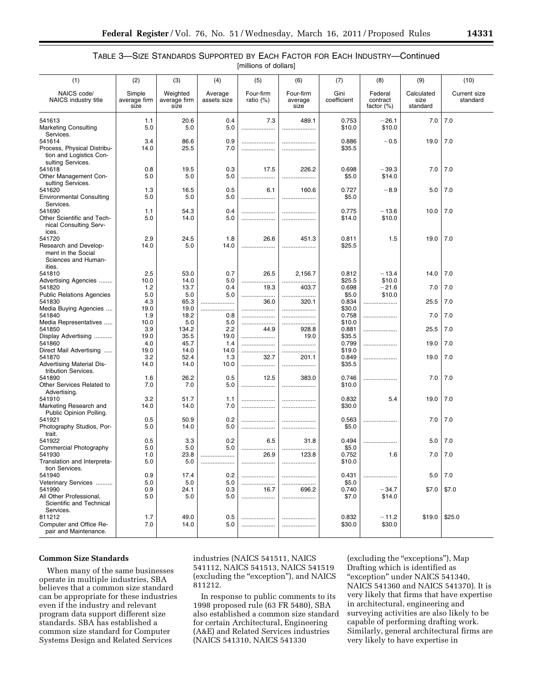# TABLE 3—SIZE STANDARDS SUPPORTED BY EACH FACTOR FOR EACH INDUSTRY—Continued [millions of dollars]

| (1)                                                                                    | (2)                            | (3)                              | (4)                    | (5)                       | (6)                          | (7)                 | (8)                                  | (9)                            | (10)                            |
|----------------------------------------------------------------------------------------|--------------------------------|----------------------------------|------------------------|---------------------------|------------------------------|---------------------|--------------------------------------|--------------------------------|---------------------------------|
| NAICS code/<br>NAICS industry title                                                    | Simple<br>average firm<br>size | Weighted<br>average firm<br>size | Average<br>assets size | Four-firm<br>ratio $(\%)$ | Four-firm<br>average<br>size | Gini<br>coefficient | Federal<br>contract<br>factor $(\%)$ | Calculated<br>size<br>standard | <b>Current size</b><br>standard |
| 541613<br><b>Marketing Consulting</b><br>Services.                                     | 1.1<br>5.0                     | 20.6<br>5.0                      | 0.4<br>5.0             | 7.3                       | 489.1<br>                    | 0.753<br>\$10.0     | $-26.1$<br>\$10.0                    | 7.0                            | 7.0                             |
| 541614<br>Process, Physical Distribu-<br>tion and Logistics Con-<br>sulting Services.  | 3.4<br>14.0                    | 86.6<br>25.5                     | 0.9<br>7.0             | <br>                      |                              | 0.886<br>\$35.5     | $-0.5$                               | 19.0                           | 7.0                             |
| 541618<br>Other Management Con-<br>sulting Services.                                   | 0.8<br>5.0                     | 19.5<br>5.0                      | 0.3<br>5.0             | 17.5<br>                  | 226.2<br>                    | 0.698<br>\$5.0      | $-39.3$<br>\$14.0                    | 7.0                            | 7.0                             |
| 541620<br><b>Environmental Consulting</b><br>Services.                                 | 1.3<br>5.0                     | 16.5<br>5.0                      | 0.5<br>5.0             | 6.1<br>                   | 160.6                        | 0.727<br>\$5.0      | $-8.9$                               | 5.0                            | 7.0                             |
| 541690<br>Other Scientific and Tech-<br>nical Consulting Serv-<br>ices.                | 1.1<br>5.0                     | 54.3<br>14.0                     | 0.4<br>5.0             |                           | .                            | 0.775<br>\$14.0     | $-13.6$<br>\$10.0                    | 10.0                           | 7.0                             |
| 541720<br>Research and Develop-<br>ment in the Social<br>Sciences and Human-<br>ities. | 2.9<br>14.0                    | 24.5<br>5.0                      | 1.8<br>14.0            | 26.6<br>                  | 451.3<br>                    | 0.811<br>\$25.5     | 1.5                                  | 19.0                           | 7.0                             |
| 541810                                                                                 | 2.5                            | 53.0                             | 0.7                    | 26.5                      | 2,156.7                      | 0.812<br>\$25.5     | $-13.4$<br>\$10.0                    | 14.0                           | 7.0                             |
| Advertising Agencies<br>541820                                                         | 10.0<br>1.2                    | 14.0<br>13.7                     | 5.0<br>0.4             | <br>19.3                  | <br>403.7                    | 0.698               | $-21.6$<br>\$10.0                    | 7.0                            | 7.0                             |
| <b>Public Relations Agencies</b><br>541830                                             | 5.0<br>4.3                     | 5.0<br>65.3                      | 5.0<br>                | <br>36.0                  | .<br>320.1                   | \$5.0<br>0.834      |                                      | 25.5                           | 7.0                             |
| Media Buying Agencies                                                                  | 19.0                           | 19.0                             | .<br>.                 |                           |                              | \$30.0              |                                      |                                |                                 |
| 541840<br>Media Representatives                                                        | 1.9<br>10.0                    | 18.2<br>5.0                      | 0.8<br>5.0             | .<br>                     | <br>                         | 0.758<br>\$10.0     | .                                    | 7.0                            | 7.0                             |
| 541850                                                                                 | 3.9                            | 134.2                            | 2.2                    | 44.9                      | 928.8                        | 0.881               |                                      | 25.5                           | 7.0                             |
| Display Advertising<br>541860                                                          | 19.0<br>4.0                    | 35.5<br>45.7                     | 19.0<br>1.4            | <br>                      | 19.0<br>.                    | \$35.5<br>0.799     |                                      | 19.0                           | 7.0                             |
| Direct Mail Advertising                                                                | 19.0                           | 14.0                             | 14.0                   |                           |                              | \$19.0              |                                      |                                |                                 |
| 541870                                                                                 | 3.2                            | 52.4                             | 1.3                    | 32.7                      | 201.1                        | 0.849               | .                                    | 19.0                           | 7.0                             |
| <b>Advertising Material Dis-</b><br>tribution Services.                                | 14.0                           | 14.0                             | 10.0                   |                           |                              | \$35.5              |                                      |                                |                                 |
| 541890<br>Other Services Related to<br>Advertising.                                    | 1.6<br>7.0                     | 26.2<br>7.0                      | 0.5<br>5.0             | 12.5<br>                  | 383.0<br>.                   | 0.746<br>\$10.0     | .                                    | 7.0                            | 7.0                             |
| 541910<br>Marketing Research and<br>Public Opinion Polling.                            | 3.2<br>14.0                    | 51.7<br>14.0                     | 1.1<br>7.0             | <br>                      |                              | 0.832<br>\$30.0     | 5.4                                  | 19.0                           | 7.0                             |
| 541921<br>Photography Studios, Por-                                                    | 0.5<br>5.0                     | 50.9<br>14.0                     | 0.2<br>5.0             |                           |                              | 0.563<br>\$5.0      | .                                    | 7.0                            | 7.0                             |
| trait.<br>541922                                                                       | 0.5                            | 3.3                              | 0.2                    | 6.5                       | 31.8                         | 0.494               | .                                    | 5.0                            | 7.0                             |
| Commercial Photography                                                                 | 5.0                            | 5.0                              | 5.0                    |                           |                              | \$5.0               |                                      |                                |                                 |
| 541930<br>Translation and Interpreta-                                                  | 1.0<br>$5.0\,$                 | 23.8<br>5.0                      | .<br>                  | 26.9<br>                  | 123.8                        | 0.752<br>\$10.0     | 1.6                                  | 7.0                            | 7.0                             |
| tion Services.<br>541940                                                               | 0.9                            | 17.4                             | 0.2                    |                           |                              | 0.431               | .                                    | 5.0                            | 7.0                             |
| Veterinary Services                                                                    | 5.0                            | 5.0                              | 5.0                    | .                         | .<br>.                       | \$5.0               |                                      |                                |                                 |
| 541990<br>All Other Professional,<br>Scientific and Technical<br>Services.             | 0.9<br>5.0                     | 24.1<br>5.0                      | 0.3<br>5.0             | 16.7<br>                  | 696.2<br>.                   | 0.740<br>\$7.0      | $-34.7$<br>\$14.0                    | \$7.0                          | \$7.0                           |
| 811212                                                                                 | 1.7                            | 49.0                             | 0.5                    |                           |                              | 0.832               | $-11.2$                              | \$19.0                         | \$25.0                          |
| Computer and Office Re-<br>pair and Maintenance.                                       | 7.0                            | 14.0                             | 5.0                    | .                         |                              | \$30.0              | \$30.0                               |                                |                                 |

### **Common Size Standards**

When many of the same businesses operate in multiple industries, SBA believes that a common size standard can be appropriate for these industries even if the industry and relevant program data support different size standards. SBA has established a common size standard for Computer Systems Design and Related Services

industries (NAICS 541511, NAICS 541112, NAICS 541513, NAICS 541519 (excluding the ''exception''), and NAICS 811212.

In response to public comments to its 1998 proposed rule (63 FR 5480), SBA also established a common size standard for certain Architectural, Engineering (A&E) and Related Services industries (NAICS 541310, NAICS 541330

(excluding the "exceptions"), Map Drafting which is identified as "exception" under NAICS 541340, NAICS 541360 and NAICS 541370). It is very likely that firms that have expertise in architectural, engineering and surveying activities are also likely to be capable of performing drafting work. Similarly, general architectural firms are very likely to have expertise in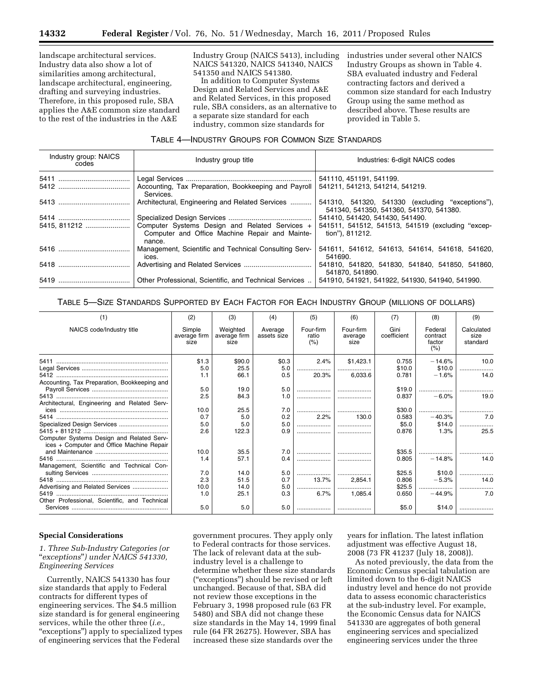landscape architectural services. Industry data also show a lot of similarities among architectural, landscape architectural, engineering, drafting and surveying industries. Therefore, in this proposed rule, SBA applies the A&E common size standard to the rest of the industries in the A&E

Industry Group (NAICS 5413), including NAICS 541320, NAICS 541340, NAICS 541350 and NAICS 541380.

In addition to Computer Systems Design and Related Services and A&E and Related Services, in this proposed rule, SBA considers, as an alternative to a separate size standard for each industry, common size standards for

industries under several other NAICS Industry Groups as shown in Table 4. SBA evaluated industry and Federal contracting factors and derived a common size standard for each Industry Group using the same method as described above. These results are provided in Table 5.

# TABLE 4—INDUSTRY GROUPS FOR COMMON SIZE STANDARDS

| Industry group: NAICS<br>codes | Industry group title                                                                                       | Industries: 6-digit NAICS codes                                                             |  |  |  |  |
|--------------------------------|------------------------------------------------------------------------------------------------------------|---------------------------------------------------------------------------------------------|--|--|--|--|
|                                |                                                                                                            | 541110, 451191, 541199.                                                                     |  |  |  |  |
|                                | Accounting, Tax Preparation, Bookkeeping and Payroll<br>Services.                                          | 541211, 541213, 541214, 541219.                                                             |  |  |  |  |
|                                | Architectural, Engineering and Related Services                                                            | 541310, 541320, 541330 (excluding "exceptions"),<br>541340, 541350, 541360, 541370, 541380. |  |  |  |  |
|                                |                                                                                                            | 541410, 541420, 541430, 541490.                                                             |  |  |  |  |
| 5415, 811212                   | Computer Systems Design and Related Services +<br>Computer and Office Machine Repair and Mainte-<br>nance. | 541511, 541512, 541513, 541519 (excluding "excep-<br>tion"), 811212.                        |  |  |  |  |
|                                | Management, Scientific and Technical Consulting Serv-<br>ices.                                             | 541611, 541612, 541613, 541614, 541618, 541620,<br>541690.                                  |  |  |  |  |
|                                |                                                                                                            | 541810, 541820, 541830, 541840, 541850, 541860,<br>541870. 541890.                          |  |  |  |  |
|                                | Other Professional, Scientific, and Technical Services                                                     | 541910, 541921, 541922, 541930, 541940, 541990.                                             |  |  |  |  |

TABLE 5—SIZE STANDARDS SUPPORTED BY EACH FACTOR FOR EACH INDUSTRY GROUP (MILLIONS OF DOLLARS)

| (1)                                                                                    | (2)                            | (3)                              | (4)                    | (5)                        | (6)                          | (7)                 | (8)                                   | (9)                            |
|----------------------------------------------------------------------------------------|--------------------------------|----------------------------------|------------------------|----------------------------|------------------------------|---------------------|---------------------------------------|--------------------------------|
| NAICS code/Industry title                                                              | Simple<br>average firm<br>size | Weighted<br>average firm<br>size | Average<br>assets size | Four-firm<br>ratio<br>(% ) | Four-firm<br>average<br>size | Gini<br>coefficient | Federal<br>contract<br>factor<br>(% ) | Calculated<br>size<br>standard |
| 5411                                                                                   | \$1.3                          | \$90.0                           | \$0.3                  | 2.4%                       | \$1,423.1                    | 0.755               | $-14.6%$                              | 10.0                           |
|                                                                                        | 5.0                            | 25.5                             | 5.0                    |                            |                              | \$10.0              | \$10.0                                |                                |
| 5412                                                                                   |                                | 66.1                             | 0.5                    | 20.3%                      | 6,033.6                      | 0.781               | $-1.6%$                               | 14.0                           |
| Accounting, Tax Preparation, Bookkeeping and                                           |                                |                                  |                        |                            |                              |                     |                                       |                                |
|                                                                                        | 5.0                            | 19.0                             | 5.0                    |                            |                              | \$19.0              |                                       |                                |
|                                                                                        | 2.5                            | 84.3                             | 1.0                    |                            |                              | 0.837               | $-6.0%$                               | 19.0                           |
| Architectural, Engineering and Related Serv-                                           |                                |                                  |                        |                            |                              |                     |                                       |                                |
|                                                                                        | 10.0                           | 25.5                             | 7.0                    | .                          |                              | \$30.0              | .                                     |                                |
| 5414                                                                                   | 0.7                            | 5.0                              | 0.2                    | 2.2%                       | 130.0                        | 0.583               | $-40.3%$                              | 7.0                            |
|                                                                                        | 5.0                            | 5.0                              | 5.0                    |                            |                              | \$5.0               | \$14.0                                | .                              |
|                                                                                        | 2.6                            | 122.3                            | 0.9                    |                            |                              | 0.876               | 1.3%                                  | 25.5                           |
| Computer Systems Design and Related Serv-<br>ices + Computer and Office Machine Repair |                                |                                  |                        |                            |                              |                     |                                       |                                |
|                                                                                        | 10.0                           | 35.5                             | 7.0                    | .                          |                              | \$35.5              |                                       |                                |
|                                                                                        | 1.4                            | 57.1                             | 0.4                    |                            |                              | 0.805               | $-14.8%$                              | 14.0                           |
| Management, Scientific and Technical Con-                                              |                                |                                  |                        |                            |                              |                     |                                       |                                |
|                                                                                        | 7.0                            | 14.0                             | 5.0                    |                            |                              | \$25.5              | \$10.0                                |                                |
|                                                                                        | 2.3                            | 51.5                             | 0.7                    | 13.7%                      | 2.854.1                      | 0.806               | $-5.3%$                               | 14.0                           |
| Advertising and Related Services                                                       | 10.0                           | 14.0                             | 5.0                    |                            |                              | \$25.5              |                                       |                                |
| 5419                                                                                   | 1.0                            | 25.1                             | 0.3                    | 6.7%                       | 1.085.4                      | 0.650               | $-44.9%$                              | 7.0                            |
| Other Professional, Scientific, and Technical                                          |                                |                                  |                        |                            |                              |                     |                                       |                                |
|                                                                                        | 5.0                            | 5.0                              | 5.0                    |                            |                              | \$5.0               | \$14.0                                |                                |

### **Special Considerations**

### *1. Three Sub-Industry Categories (or*  ''*exceptions*''*) under NAICS 541330, Engineering Services*

Currently, NAICS 541330 has four size standards that apply to Federal contracts for different types of engineering services. The \$4.5 million size standard is for general engineering services, while the other three (*i.e.,*  "exceptions") apply to specialized types of engineering services that the Federal

government procures. They apply only to Federal contracts for those services. The lack of relevant data at the subindustry level is a challenge to determine whether these size standards (''exceptions'') should be revised or left unchanged. Because of that, SBA did not review those exceptions in the February 3, 1998 proposed rule (63 FR 5480) and SBA did not change these size standards in the May 14, 1999 final rule (64 FR 26275). However, SBA has increased these size standards over the

years for inflation. The latest inflation adjustment was effective August 18, 2008 (73 FR 41237 (July 18, 2008)).

As noted previously, the data from the Economic Census special tabulation are limited down to the 6-digit NAICS industry level and hence do not provide data to assess economic characteristics at the sub-industry level. For example, the Economic Census data for NAICS 541330 are aggregates of both general engineering services and specialized engineering services under the three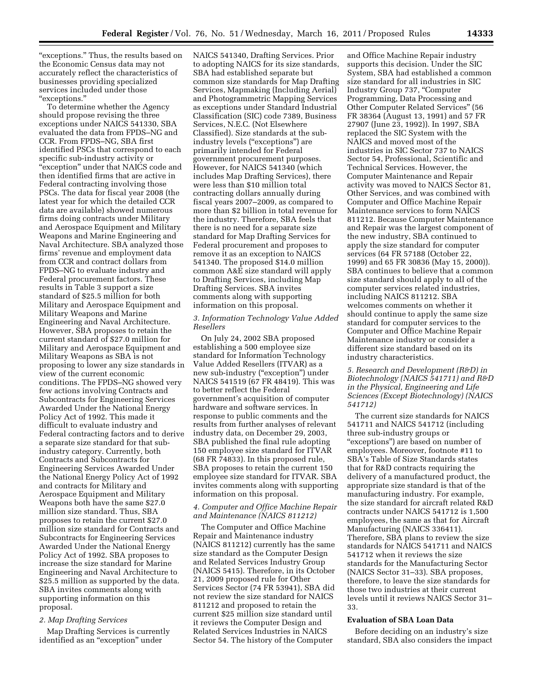"exceptions." Thus, the results based on the Economic Census data may not accurately reflect the characteristics of businesses providing specialized services included under those ''exceptions.''

To determine whether the Agency should propose revising the three exceptions under NAICS 541330, SBA evaluated the data from FPDS–NG and CCR. From FPDS–NG, SBA first identified PSCs that correspond to each specific sub-industry activity or "exception" under that NAICS code and then identified firms that are active in Federal contracting involving those PSCs. The data for fiscal year 2008 (the latest year for which the detailed CCR data are available) showed numerous firms doing contracts under Military and Aerospace Equipment and Military Weapons and Marine Engineering and Naval Architecture. SBA analyzed those firms' revenue and employment data from CCR and contract dollars from FPDS–NG to evaluate industry and Federal procurement factors. These results in Table 3 support a size standard of \$25.5 million for both Military and Aerospace Equipment and Military Weapons and Marine Engineering and Naval Architecture. However, SBA proposes to retain the current standard of \$27.0 million for Military and Aerospace Equipment and Military Weapons as SBA is not proposing to lower any size standards in view of the current economic conditions. The FPDS–NG showed very few actions involving Contracts and Subcontracts for Engineering Services Awarded Under the National Energy Policy Act of 1992. This made it difficult to evaluate industry and Federal contracting factors and to derive a separate size standard for that subindustry category. Currently, both Contracts and Subcontracts for Engineering Services Awarded Under the National Energy Policy Act of 1992 and contracts for Military and Aerospace Equipment and Military Weapons both have the same \$27.0 million size standard. Thus, SBA proposes to retain the current \$27.0 million size standard for Contracts and Subcontracts for Engineering Services Awarded Under the National Energy Policy Act of 1992. SBA proposes to increase the size standard for Marine Engineering and Naval Architecture to \$25.5 million as supported by the data. SBA invites comments along with supporting information on this proposal.

#### *2. Map Drafting Services*

Map Drafting Services is currently identified as an "exception" under

NAICS 541340, Drafting Services. Prior to adopting NAICS for its size standards, SBA had established separate but common size standards for Map Drafting Services, Mapmaking (Including Aerial) and Photogrammetric Mapping Services as exceptions under Standard Industrial Classification (SIC) code 7389, Business Services, N.E.C. (Not Elsewhere Classified). Size standards at the subindustry levels ("exceptions") are primarily intended for Federal government procurement purposes. However, for NAICS 541340 (which includes Map Drafting Services), there were less than \$10 million total contracting dollars annually during fiscal years 2007–2009, as compared to more than \$2 billion in total revenue for the industry. Therefore, SBA feels that there is no need for a separate size standard for Map Drafting Services for Federal procurement and proposes to remove it as an exception to NAICS 541340. The proposed \$14.0 million common A&E size standard will apply to Drafting Services, including Map Drafting Services. SBA invites comments along with supporting information on this proposal.

#### *3. Information Technology Value Added Resellers*

On July 24, 2002 SBA proposed establishing a 500 employee size standard for Information Technology Value Added Resellers (ITVAR) as a new sub-industry ("exception") under NAICS 541519 (67 FR 48419). This was to better reflect the Federal government's acquisition of computer hardware and software services. In response to public comments and the results from further analyses of relevant industry data, on December 29, 2003, SBA published the final rule adopting 150 employee size standard for ITVAR (68 FR 74833). In this proposed rule, SBA proposes to retain the current 150 employee size standard for ITVAR. SBA invites comments along with supporting information on this proposal.

### *4. Computer and Office Machine Repair and Maintenance (NAICS 811212)*

The Computer and Office Machine Repair and Maintenance industry (NAICS 811212) currently has the same size standard as the Computer Design and Related Services Industry Group (NAICS 5415). Therefore, in its October 21, 2009 proposed rule for Other Services Sector (74 FR 53941), SBA did not review the size standard for NAICS 811212 and proposed to retain the current \$25 million size standard until it reviews the Computer Design and Related Services Industries in NAICS Sector 54. The history of the Computer

and Office Machine Repair industry supports this decision. Under the SIC System, SBA had established a common size standard for all industries in SIC Industry Group 737, ''Computer Programming, Data Processing and Other Computer Related Services'' (56 FR 38364 (August 13, 1991) and 57 FR 27907 (June 23, 1992)). In 1997, SBA replaced the SIC System with the NAICS and moved most of the industries in SIC Sector 737 to NAICS Sector 54, Professional, Scientific and Technical Services. However, the Computer Maintenance and Repair activity was moved to NAICS Sector 81, Other Services, and was combined with Computer and Office Machine Repair Maintenance services to form NAICS 811212. Because Computer Maintenance and Repair was the largest component of the new industry, SBA continued to apply the size standard for computer services (64 FR 57188 (October 22, 1999) and 65 FR 30836 (May 15, 2000)). SBA continues to believe that a common size standard should apply to all of the computer services related industries, including NAICS 811212. SBA welcomes comments on whether it should continue to apply the same size standard for computer services to the Computer and Office Machine Repair Maintenance industry or consider a different size standard based on its industry characteristics.

*5. Research and Development (R&D) in Biotechnology (NAICS 541711) and R&D in the Physical, Engineering and Life Sciences (Except Biotechnology) (NAICS 541712)* 

The current size standards for NAICS 541711 and NAICS 541712 (including three sub-industry groups or ''exceptions'') are based on number of employees. Moreover, footnote #11 to SBA's Table of Size Standards states that for R&D contracts requiring the delivery of a manufactured product, the appropriate size standard is that of the manufacturing industry. For example, the size standard for aircraft related R&D contracts under NAICS 541712 is 1,500 employees, the same as that for Aircraft Manufacturing (NAICS 336411). Therefore, SBA plans to review the size standards for NAICS 541711 and NAICS 541712 when it reviews the size standards for the Manufacturing Sector (NAICS Sector 31–33). SBA proposes, therefore, to leave the size standards for those two industries at their current levels until it reviews NAICS Sector 31– 33.

#### **Evaluation of SBA Loan Data**

Before deciding on an industry's size standard, SBA also considers the impact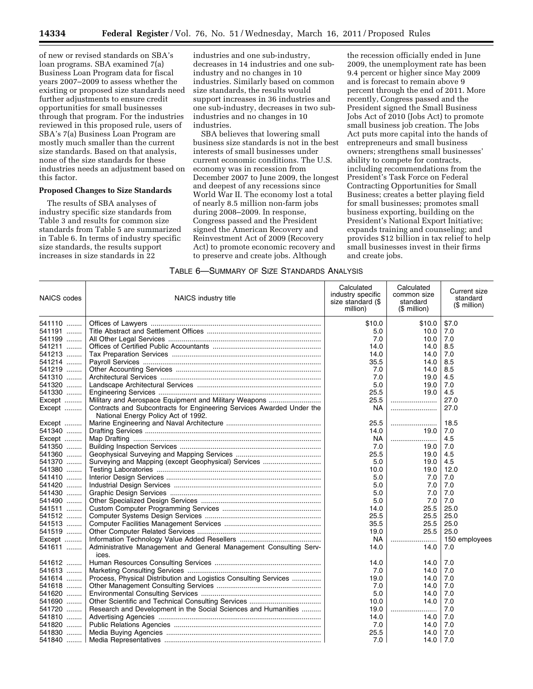of new or revised standards on SBA's loan programs. SBA examined 7(a) Business Loan Program data for fiscal years 2007–2009 to assess whether the existing or proposed size standards need further adjustments to ensure credit opportunities for small businesses through that program. For the industries reviewed in this proposed rule, users of SBA's 7(a) Business Loan Program are mostly much smaller than the current size standards. Based on that analysis, none of the size standards for these industries needs an adjustment based on this factor.

## **Proposed Changes to Size Standards**

The results of SBA analyses of industry specific size standards from Table 3 and results for common size standards from Table 5 are summarized in Table 6. In terms of industry specific size standards, the results support increases in size standards in 22

industries and one sub-industry, decreases in 14 industries and one subindustry and no changes in 10 industries. Similarly based on common size standards, the results would support increases in 36 industries and one sub-industry, decreases in two subindustries and no changes in 10 industries.

SBA believes that lowering small business size standards is not in the best interests of small businesses under current economic conditions. The U.S. economy was in recession from December 2007 to June 2009, the longest and deepest of any recessions since World War II. The economy lost a total of nearly 8.5 million non-farm jobs during 2008–2009. In response, Congress passed and the President signed the American Recovery and Reinvestment Act of 2009 (Recovery Act) to promote economic recovery and to preserve and create jobs. Although

the recession officially ended in June 2009, the unemployment rate has been 9.4 percent or higher since May 2009 and is forecast to remain above 9 percent through the end of 2011. More recently, Congress passed and the President signed the Small Business Jobs Act of 2010 (Jobs Act) to promote small business job creation. The Jobs Act puts more capital into the hands of entrepreneurs and small business owners; strengthens small businesses' ability to compete for contracts, including recommendations from the President's Task Force on Federal Contracting Opportunities for Small Business; creates a better playing field for small businesses; promotes small business exporting, building on the President's National Export Initiative; expands training and counseling; and provides \$12 billion in tax relief to help small businesses invest in their firms and create jobs.

### TABLE 6—SUMMARY OF SIZE STANDARDS ANALYSIS

| <b>NAICS</b> codes | NAICS industry title                                                                                         | Calculated<br>industry specific<br>size standard (\$<br>million) | Calculated<br>common size<br>standard<br>(\$ million) | Current size<br>standard<br>(\$ million) |
|--------------------|--------------------------------------------------------------------------------------------------------------|------------------------------------------------------------------|-------------------------------------------------------|------------------------------------------|
| 541110             |                                                                                                              | \$10.0                                                           | \$10.0                                                | \$7.0                                    |
| 541191             |                                                                                                              | 5.0                                                              | 10.0                                                  | 7.0                                      |
| 541199             |                                                                                                              | 7.0                                                              | 10.0                                                  | 7.0                                      |
| 541211             |                                                                                                              | 14.0                                                             | 14.0                                                  | 8.5                                      |
| 541213             |                                                                                                              | 14.0                                                             | 14.0                                                  | 7.0                                      |
| 541214             |                                                                                                              | 35.5                                                             | 14.0                                                  | 8.5                                      |
| 541219             |                                                                                                              | 7.0                                                              | 14.0                                                  | 8.5                                      |
| 541310             |                                                                                                              | 7.0                                                              | 19.0                                                  | 4.5                                      |
| 541320             |                                                                                                              | 5.0                                                              | 19.0                                                  | 7.0                                      |
| 541330             |                                                                                                              | 25.5                                                             | 19.0                                                  | 4.5                                      |
| Except             | Military and Aerospace Equipment and Military Weapons                                                        | 25.5                                                             |                                                       | 27.0                                     |
|                    |                                                                                                              | <b>NA</b>                                                        |                                                       | 27.0                                     |
| Except             | Contracts and Subcontracts for Engineering Services Awarded Under the<br>National Energy Policy Act of 1992. |                                                                  |                                                       |                                          |
| Except             |                                                                                                              | 25.5                                                             |                                                       | 18.5                                     |
| 541340             |                                                                                                              | 14.0                                                             | 19.0                                                  | 7.0                                      |
| Except             |                                                                                                              | NA.                                                              |                                                       | 4.5                                      |
| 541350             |                                                                                                              | 7.0                                                              | 19.0                                                  | 7.0                                      |
| 541360             |                                                                                                              | 25.5                                                             | 19.0                                                  | 4.5                                      |
| 541370             |                                                                                                              | 5.0                                                              | 19.0                                                  | 4.5                                      |
| 541380             |                                                                                                              | 10.0                                                             | 19.0                                                  | 12.0                                     |
| 541410             |                                                                                                              | 5.0                                                              | 7.0                                                   | 7.0                                      |
| 541420             |                                                                                                              | 5.0                                                              | 7.0                                                   | 7.0                                      |
| 541430             |                                                                                                              | 5.0                                                              | 7.0                                                   | 7.0                                      |
| 541490             |                                                                                                              | 5.0                                                              | 7.0                                                   | 7.0                                      |
| 541511             |                                                                                                              | 14.0                                                             | 25.5                                                  | 25.0                                     |
| 541512             |                                                                                                              | 25.5                                                             | 25.5                                                  | 25.0                                     |
| 541513             |                                                                                                              | 35.5                                                             | 25.5                                                  | 25.0                                     |
|                    |                                                                                                              |                                                                  |                                                       |                                          |
| 541519             |                                                                                                              | 19.0                                                             | 25.5                                                  | 25.0                                     |
| Except             |                                                                                                              | NA.                                                              |                                                       | 150 employees                            |
| 541611             | Administrative Management and General Management Consulting Serv-<br>ices.                                   | 14.0                                                             | 14.0                                                  | 7.0                                      |
| 541612             |                                                                                                              | 14.0                                                             | 14.0                                                  | 7.0                                      |
| 541613             |                                                                                                              | 7.0                                                              | 14.0                                                  | 7.0                                      |
| 541614             | Process, Physical Distribution and Logistics Consulting Services                                             | 19.0                                                             | 14.0                                                  | 7.0                                      |
| 541618             |                                                                                                              | 7.0                                                              | 14.0                                                  | 7.0                                      |
| 541620             |                                                                                                              | 5.0                                                              | 14.0                                                  | 7.0                                      |
| 541690             |                                                                                                              | 10.0                                                             | 14.0                                                  | 7.0                                      |
| 541720             | Research and Development in the Social Sciences and Humanities                                               | 19.0                                                             |                                                       | 7.0                                      |
| 541810             |                                                                                                              | 14.0                                                             | 14.0                                                  | 7.0                                      |
| 541820   l         |                                                                                                              | 7.0                                                              | 14.0                                                  | 7.0                                      |
| 541830  ∣          |                                                                                                              | 25.5                                                             | 14.0                                                  | 7.0                                      |
|                    |                                                                                                              | 7.0                                                              |                                                       | 7.0                                      |
|                    |                                                                                                              |                                                                  | 14.0                                                  |                                          |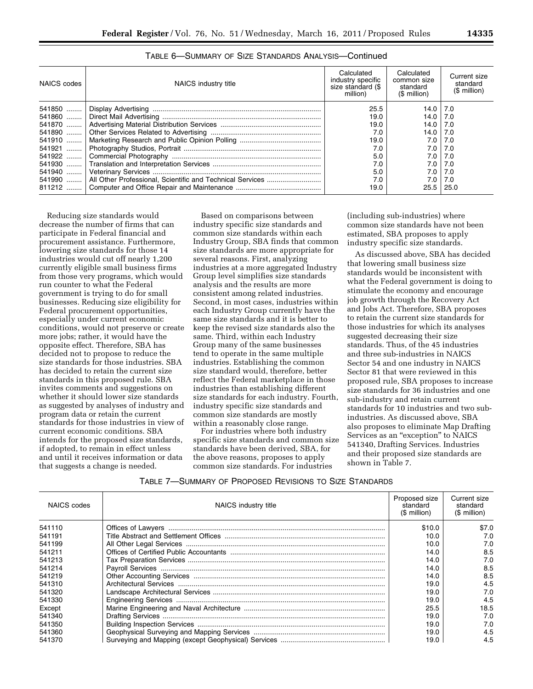| NAICS codes | NAICS industry title                                                | Calculated<br>industry specific<br>size standard (\$<br>million) | Calculated<br>common size<br>standard<br>$(S$ million) | Current size<br>standard<br>(\$ million) |
|-------------|---------------------------------------------------------------------|------------------------------------------------------------------|--------------------------------------------------------|------------------------------------------|
|             |                                                                     | 25.5                                                             | 14.0                                                   | 7.0                                      |
|             |                                                                     | 19.0                                                             | 14.0 $ $                                               | 7.0                                      |
|             |                                                                     | 19.0                                                             | ا 14.0                                                 | 7.0                                      |
|             |                                                                     | 7.0                                                              | 14.0                                                   | 7.0                                      |
|             |                                                                     | 19.0                                                             | 7.0 I                                                  | 7.0                                      |
|             |                                                                     | 7.0                                                              | 7.O I                                                  | 7.0                                      |
|             |                                                                     | 5.0                                                              | 7.0 l                                                  | 7.0                                      |
|             |                                                                     | 7.0                                                              | 7.O I                                                  | 7.0                                      |
|             |                                                                     | 5.0                                                              | 7.O I                                                  | 7.0                                      |
|             | 541990    All Other Professional, Scientific and Technical Services | 7.0                                                              | 7.0                                                    | 7.0                                      |
| 811212      |                                                                     | 19.0                                                             | 25.5                                                   | 25.0                                     |

|  |  | TABLE 6-SUMMARY OF SIZE STANDARDS ANALYSIS-Continued |
|--|--|------------------------------------------------------|
|--|--|------------------------------------------------------|

Reducing size standards would decrease the number of firms that can participate in Federal financial and procurement assistance. Furthermore, lowering size standards for those 14 industries would cut off nearly 1,200 currently eligible small business firms from those very programs, which would run counter to what the Federal government is trying to do for small businesses. Reducing size eligibility for Federal procurement opportunities, especially under current economic conditions, would not preserve or create more jobs; rather, it would have the opposite effect. Therefore, SBA has decided not to propose to reduce the size standards for those industries. SBA has decided to retain the current size standards in this proposed rule. SBA invites comments and suggestions on whether it should lower size standards as suggested by analyses of industry and program data or retain the current standards for those industries in view of current economic conditions. SBA intends for the proposed size standards, if adopted, to remain in effect unless and until it receives information or data that suggests a change is needed.

Based on comparisons between industry specific size standards and common size standards within each Industry Group, SBA finds that common size standards are more appropriate for several reasons. First, analyzing industries at a more aggregated Industry Group level simplifies size standards analysis and the results are more consistent among related industries. Second, in most cases, industries within each Industry Group currently have the same size standards and it is better to keep the revised size standards also the same. Third, within each Industry Group many of the same businesses tend to operate in the same multiple industries. Establishing the common size standard would, therefore, better reflect the Federal marketplace in those industries than establishing different size standards for each industry. Fourth, industry specific size standards and common size standards are mostly within a reasonably close range.

For industries where both industry specific size standards and common size standards have been derived, SBA, for the above reasons, proposes to apply common size standards. For industries

(including sub-industries) where common size standards have not been estimated, SBA proposes to apply industry specific size standards.

As discussed above, SBA has decided that lowering small business size standards would be inconsistent with what the Federal government is doing to stimulate the economy and encourage job growth through the Recovery Act and Jobs Act. Therefore, SBA proposes to retain the current size standards for those industries for which its analyses suggested decreasing their size standards. Thus, of the 45 industries and three sub-industries in NAICS Sector 54 and one industry in NAICS Sector 81 that were reviewed in this proposed rule, SBA proposes to increase size standards for 36 industries and one sub-industry and retain current standards for 10 industries and two subindustries. As discussed above, SBA also proposes to eliminate Map Drafting Services as an "exception" to NAICS 541340, Drafting Services. Industries and their proposed size standards are shown in Table 7.

| NAICS codes | NAICS industry title | Proposed size<br>standard<br>(\$ million) | Current size<br>standard<br>(\$ million) |
|-------------|----------------------|-------------------------------------------|------------------------------------------|
| 541110      |                      | \$10.0                                    | \$7.0                                    |
| 541191      |                      | 10.0                                      | 7.0                                      |
| 541199      |                      | 10.0                                      | 7.0                                      |
| 541211      |                      | 14.0                                      | 8.5                                      |
| 541213      |                      | 14.0                                      | 7.0                                      |
| 541214      |                      | 14.0                                      | 8.5                                      |
| 541219      |                      | 14.0                                      | 8.5                                      |
| 541310      |                      | 19.0                                      | 4.5                                      |
| 541320      |                      | 19.0                                      | 7.0                                      |
| 541330      |                      | 19.0                                      | 4.5                                      |
| Except      |                      | 25.5                                      | 18.5                                     |
| 541340      |                      | 19.0                                      | 7.0                                      |
| 541350      |                      | 19.0                                      | 7.0                                      |
| 541360      |                      | 19.0                                      | 4.5                                      |
| 541370      |                      | 19.0                                      | 4.5                                      |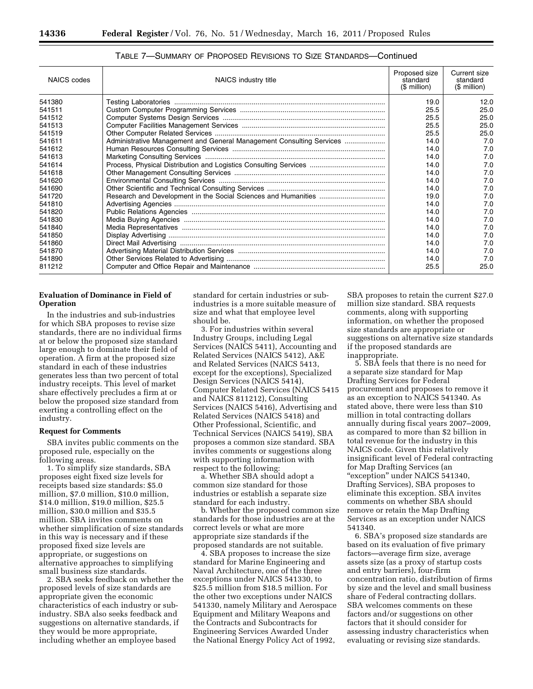| <b>NAICS</b> codes | NAICS industry title                                                 | Proposed size<br>standard<br>$$$ million) | Current size<br>standard<br>(\$ million) |
|--------------------|----------------------------------------------------------------------|-------------------------------------------|------------------------------------------|
| 541380             |                                                                      | 19.0                                      | 12.0                                     |
| 541511             |                                                                      | 25.5                                      | 25.0                                     |
| 541512             |                                                                      | 25.5                                      | 25.0                                     |
| 541513             |                                                                      | 25.5                                      | 25.0                                     |
| 541519             |                                                                      | 25.5                                      | 25.0                                     |
| 541611             | Administrative Management and General Management Consulting Services | 14.0                                      | 7.0                                      |
| 541612             |                                                                      | 14.0                                      | 7.0                                      |
| 541613             |                                                                      | 14.0                                      | 7.0                                      |
| 541614             |                                                                      | 14.0                                      | 7.0                                      |
| 541618             |                                                                      | 14.0                                      | 7.0                                      |
| 541620             |                                                                      | 14.0                                      | 7.0                                      |
| 541690             |                                                                      | 14.0                                      | 7.0                                      |
| 541720             |                                                                      | 19.0                                      | 7.0                                      |
| 541810             |                                                                      | 14.0                                      | 7.0                                      |
| 541820             |                                                                      | 14.0                                      | 7.0                                      |
| 541830             |                                                                      | 14.0                                      | 7.0                                      |
| 541840             |                                                                      | 14.0                                      | 7.0                                      |
| 541850             |                                                                      | 14.0                                      | 7.0                                      |
| 541860             |                                                                      | 14.0                                      | 7.0                                      |
| 541870             |                                                                      | 14.0                                      | 7.0                                      |
| 541890             |                                                                      | 14.0                                      | 7.0                                      |
| 811212             |                                                                      | 25.5                                      | 25.0                                     |

## TABLE 7—SUMMARY OF PROPOSED REVISIONS TO SIZE STANDARDS—Continued

## **Evaluation of Dominance in Field of Operation**

In the industries and sub-industries for which SBA proposes to revise size standards, there are no individual firms at or below the proposed size standard large enough to dominate their field of operation. A firm at the proposed size standard in each of these industries generates less than two percent of total industry receipts. This level of market share effectively precludes a firm at or below the proposed size standard from exerting a controlling effect on the industry.

### **Request for Comments**

SBA invites public comments on the proposed rule, especially on the following areas.

1. To simplify size standards, SBA proposes eight fixed size levels for receipts based size standards: \$5.0 million, \$7.0 million, \$10.0 million, \$14.0 million, \$19.0 million, \$25.5 million, \$30.0 million and \$35.5 million. SBA invites comments on whether simplification of size standards in this way is necessary and if these proposed fixed size levels are appropriate, or suggestions on alternative approaches to simplifying small business size standards.

2. SBA seeks feedback on whether the proposed levels of size standards are appropriate given the economic characteristics of each industry or subindustry. SBA also seeks feedback and suggestions on alternative standards, if they would be more appropriate, including whether an employee based

standard for certain industries or subindustries is a more suitable measure of size and what that employee level should be.

3. For industries within several Industry Groups, including Legal Services (NAICS 5411), Accounting and Related Services (NAICS 5412), A&E and Related Services (NAICS 5413, except for the exceptions), Specialized Design Services (NAICS 5414), Computer Related Services (NAICS 5415 and NAICS 811212), Consulting Services (NAICS 5416), Advertising and Related Services (NAICS 5418) and Other Professional, Scientific, and Technical Services (NAICS 5419), SBA proposes a common size standard. SBA invites comments or suggestions along with supporting information with respect to the following:

a. Whether SBA should adopt a common size standard for those industries or establish a separate size standard for each industry.

b. Whether the proposed common size standards for those industries are at the correct levels or what are more appropriate size standards if the proposed standards are not suitable.

4. SBA proposes to increase the size standard for Marine Engineering and Naval Architecture, one of the three exceptions under NAICS 541330, to \$25.5 million from \$18.5 million. For the other two exceptions under NAICS 541330, namely Military and Aerospace Equipment and Military Weapons and the Contracts and Subcontracts for Engineering Services Awarded Under the National Energy Policy Act of 1992,

SBA proposes to retain the current \$27.0 million size standard. SBA requests comments, along with supporting information, on whether the proposed size standards are appropriate or suggestions on alternative size standards if the proposed standards are inappropriate.

5. SBA feels that there is no need for a separate size standard for Map Drafting Services for Federal procurement and proposes to remove it as an exception to NAICS 541340. As stated above, there were less than \$10 million in total contracting dollars annually during fiscal years 2007–2009, as compared to more than \$2 billion in total revenue for the industry in this NAICS code. Given this relatively insignificant level of Federal contracting for Map Drafting Services (an ''exception'' under NAICS 541340, Drafting Services), SBA proposes to eliminate this exception. SBA invites comments on whether SBA should remove or retain the Map Drafting Services as an exception under NAICS 541340.

6. SBA's proposed size standards are based on its evaluation of five primary factors—average firm size, average assets size (as a proxy of startup costs and entry barriers), four-firm concentration ratio, distribution of firms by size and the level and small business share of Federal contracting dollars. SBA welcomes comments on these factors and/or suggestions on other factors that it should consider for assessing industry characteristics when evaluating or revising size standards.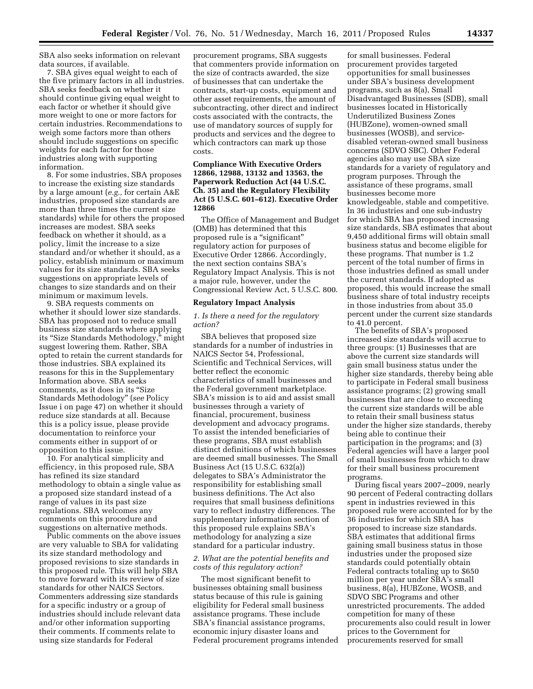SBA also seeks information on relevant data sources, if available.

7. SBA gives equal weight to each of the five primary factors in all industries. SBA seeks feedback on whether it should continue giving equal weight to each factor or whether it should give more weight to one or more factors for certain industries. Recommendations to weigh some factors more than others should include suggestions on specific weights for each factor for those industries along with supporting information.

8. For some industries, SBA proposes to increase the existing size standards by a large amount (*e.g.,* for certain A&E industries, proposed size standards are more than three times the current size standards) while for others the proposed increases are modest. SBA seeks feedback on whether it should, as a policy, limit the increase to a size standard and/or whether it should, as a policy, establish minimum or maximum values for its size standards. SBA seeks suggestions on appropriate levels of changes to size standards and on their minimum or maximum levels.

9. SBA requests comments on whether it should lower size standards. SBA has proposed not to reduce small business size standards where applying its ''Size Standards Methodology,'' might suggest lowering them. Rather, SBA opted to retain the current standards for those industries. SBA explained its reasons for this in the Supplementary Information above. SBA seeks comments, as it does in its ''Size Standards Methodology'' (*see* Policy Issue i on page 47) on whether it should reduce size standards at all. Because this is a policy issue, please provide documentation to reinforce your comments either in support of or opposition to this issue.

10. For analytical simplicity and efficiency, in this proposed rule, SBA has refined its size standard methodology to obtain a single value as a proposed size standard instead of a range of values in its past size regulations. SBA welcomes any comments on this procedure and suggestions on alternative methods.

Public comments on the above issues are very valuable to SBA for validating its size standard methodology and proposed revisions to size standards in this proposed rule. This will help SBA to move forward with its review of size standards for other NAICS Sectors. Commenters addressing size standards for a specific industry or a group of industries should include relevant data and/or other information supporting their comments. If comments relate to using size standards for Federal

procurement programs, SBA suggests that commenters provide information on the size of contracts awarded, the size of businesses that can undertake the contracts, start-up costs, equipment and other asset requirements, the amount of subcontracting, other direct and indirect costs associated with the contracts, the use of mandatory sources of supply for products and services and the degree to which contractors can mark up those costs.

### **Compliance With Executive Orders 12866, 12988, 13132 and 13563, the Paperwork Reduction Act (44 U.S.C. Ch. 35) and the Regulatory Flexibility Act (5 U.S.C. 601–612). Executive Order 12866**

The Office of Management and Budget (OMB) has determined that this proposed rule is a ''significant'' regulatory action for purposes of Executive Order 12866. Accordingly, the next section contains SBA's Regulatory Impact Analysis. This is not a major rule, however, under the Congressional Review Act, 5 U.S.C. 800.

### **Regulatory Impact Analysis**

### *1. Is there a need for the regulatory action?*

SBA believes that proposed size standards for a number of industries in NAICS Sector 54, Professional, Scientific and Technical Services, will better reflect the economic characteristics of small businesses and the Federal government marketplace. SBA's mission is to aid and assist small businesses through a variety of financial, procurement, business development and advocacy programs. To assist the intended beneficiaries of these programs, SBA must establish distinct definitions of which businesses are deemed small businesses. The Small Business Act (15 U.S.C. 632(a)) delegates to SBA's Administrator the responsibility for establishing small business definitions. The Act also requires that small business definitions vary to reflect industry differences. The supplementary information section of this proposed rule explains SBA's methodology for analyzing a size standard for a particular industry.

### *2. What are the potential benefits and costs of this regulatory action?*

The most significant benefit to businesses obtaining small business status because of this rule is gaining eligibility for Federal small business assistance programs. These include SBA's financial assistance programs, economic injury disaster loans and Federal procurement programs intended

for small businesses. Federal procurement provides targeted opportunities for small businesses under SBA's business development programs, such as 8(a), Small Disadvantaged Businesses (SDB), small businesses located in Historically Underutilized Business Zones (HUBZone), women-owned small businesses (WOSB), and servicedisabled veteran-owned small business concerns (SDVO SBC). Other Federal agencies also may use SBA size standards for a variety of regulatory and program purposes. Through the assistance of these programs, small businesses become more knowledgeable, stable and competitive. In 36 industries and one sub-industry for which SBA has proposed increasing size standards, SBA estimates that about 9,450 additional firms will obtain small business status and become eligible for these programs. That number is 1.2 percent of the total number of firms in those industries defined as small under the current standards. If adopted as proposed, this would increase the small business share of total industry receipts in those industries from about 35.0 percent under the current size standards to 41.0 percent.

The benefits of SBA's proposed increased size standards will accrue to three groups: (1) Businesses that are above the current size standards will gain small business status under the higher size standards, thereby being able to participate in Federal small business assistance programs; (2) growing small businesses that are close to exceeding the current size standards will be able to retain their small business status under the higher size standards, thereby being able to continue their participation in the programs; and (3) Federal agencies will have a larger pool of small businesses from which to draw for their small business procurement programs.

During fiscal years 2007–2009, nearly 90 percent of Federal contracting dollars spent in industries reviewed in this proposed rule were accounted for by the 36 industries for which SBA has proposed to increase size standards. SBA estimates that additional firms gaining small business status in those industries under the proposed size standards could potentially obtain Federal contracts totaling up to \$650 million per year under SBA's small business, 8(a), HUBZone, WOSB, and SDVO SBC Programs and other unrestricted procurements. The added competition for many of these procurements also could result in lower prices to the Government for procurements reserved for small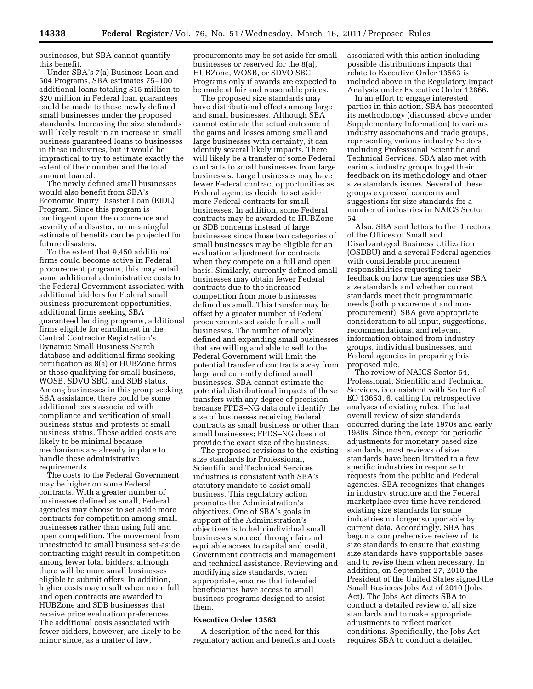businesses, but SBA cannot quantify this benefit.

Under SBA's 7(a) Business Loan and 504 Programs, SBA estimates 75–100 additional loans totaling \$15 million to \$20 million in Federal loan guarantees could be made to these newly defined small businesses under the proposed standards. Increasing the size standards will likely result in an increase in small business guaranteed loans to businesses in these industries, but it would be impractical to try to estimate exactly the extent of their number and the total amount loaned.

The newly defined small businesses would also benefit from SBA's Economic Injury Disaster Loan (EIDL) Program. Since this program is contingent upon the occurrence and severity of a disaster, no meaningful estimate of benefits can be projected for future disasters.

To the extent that 9,450 additional firms could become active in Federal procurement programs, this may entail some additional administrative costs to the Federal Government associated with additional bidders for Federal small business procurement opportunities, additional firms seeking SBA guaranteed lending programs, additional firms eligible for enrollment in the Central Contractor Registration's Dynamic Small Business Search database and additional firms seeking certification as 8(a) or HUBZone firms or those qualifying for small business, WOSB, SDVO SBC, and SDB status. Among businesses in this group seeking SBA assistance, there could be some additional costs associated with compliance and verification of small business status and protests of small business status. These added costs are likely to be minimal because mechanisms are already in place to handle these administrative requirements.

The costs to the Federal Government may be higher on some Federal contracts. With a greater number of businesses defined as small, Federal agencies may choose to set aside more contracts for competition among small businesses rather than using full and open competition. The movement from unrestricted to small business set-aside contracting might result in competition among fewer total bidders, although there will be more small businesses eligible to submit offers. In addition, higher costs may result when more full and open contracts are awarded to HUBZone and SDB businesses that receive price evaluation preferences. The additional costs associated with fewer bidders, however, are likely to be minor since, as a matter of law,

procurements may be set aside for small businesses or reserved for the 8(a), HUBZone, WOSB, or SDVO SBC Programs only if awards are expected to be made at fair and reasonable prices.

The proposed size standards may have distributional effects among large and small businesses. Although SBA cannot estimate the actual outcome of the gains and losses among small and large businesses with certainty, it can identify several likely impacts. There will likely be a transfer of some Federal contracts to small businesses from large businesses. Large businesses may have fewer Federal contract opportunities as Federal agencies decide to set aside more Federal contracts for small businesses. In addition, some Federal contracts may be awarded to HUBZone or SDB concerns instead of large businesses since those two categories of small businesses may be eligible for an evaluation adjustment for contracts when they compete on a full and open basis. Similarly, currently defined small businesses may obtain fewer Federal contracts due to the increased competition from more businesses defined as small. This transfer may be offset by a greater number of Federal procurements set aside for all small businesses. The number of newly defined and expanding small businesses that are willing and able to sell to the Federal Government will limit the potential transfer of contracts away from large and currently defined small businesses. SBA cannot estimate the potential distributional impacts of these transfers with any degree of precision because FPDS–NG data only identify the size of businesses receiving Federal contracts as small business or other than small businesses; FPDS–NG does not provide the exact size of the business.

The proposed revisions to the existing size standards for Professional, Scientific and Technical Services industries is consistent with SBA's statutory mandate to assist small business. This regulatory action promotes the Administration's objectives. One of SBA's goals in support of the Administration's objectives is to help individual small businesses succeed through fair and equitable access to capital and credit, Government contracts and management and technical assistance. Reviewing and modifying size standards, when appropriate, ensures that intended beneficiaries have access to small business programs designed to assist them.

### **Executive Order 13563**

A description of the need for this regulatory action and benefits and costs associated with this action including possible distributions impacts that relate to Executive Order 13563 is included above in the Regulatory Impact Analysis under Executive Order 12866.

In an effort to engage interested parties in this action, SBA has presented its methodology (discussed above under Supplementary Information) to various industry associations and trade groups, representing various industry Sectors including Professional Scientific and Technical Services. SBA also met with various industry groups to get their feedback on its methodology and other size standards issues. Several of these groups expressed concerns and suggestions for size standards for a number of industries in NAICS Sector 54.

Also, SBA sent letters to the Directors of the Offices of Small and Disadvantaged Business Utilization (OSDBU) and a several Federal agencies with considerable procurement responsibilities requesting their feedback on how the agencies use SBA size standards and whether current standards meet their programmatic needs (both procurement and nonprocurement). SBA gave appropriate consideration to all input, suggestions, recommendations, and relevant information obtained from industry groups, individual businesses, and Federal agencies in preparing this proposed rule.

The review of NAICS Sector 54, Professional, Scientific and Technical Services, is consistent with Sector 6 of EO 13653, 6. calling for retrospective analyses of existing rules. The last overall review of size standards occurred during the late 1970s and early 1980s. Since then, except for periodic adjustments for monetary based size standards, most reviews of size standards have been limited to a few specific industries in response to requests from the public and Federal agencies. SBA recognizes that changes in industry structure and the Federal marketplace over time have rendered existing size standards for some industries no longer supportable by current data. Accordingly, SBA has begun a comprehensive review of its size standards to ensure that existing size standards have supportable bases and to revise them when necessary. In addition, on September 27, 2010 the President of the United States signed the Small Business Jobs Act of 2010 (Jobs Act). The Jobs Act directs SBA to conduct a detailed review of all size standards and to make appropriate adjustments to reflect market conditions. Specifically, the Jobs Act requires SBA to conduct a detailed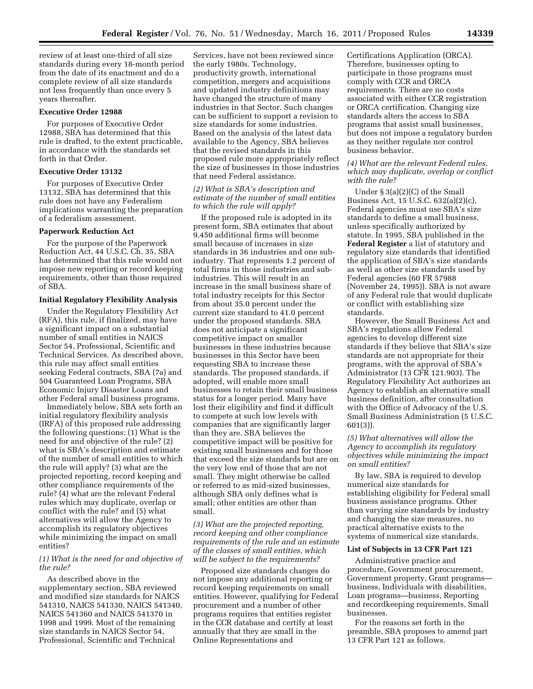review of at least one-third of all size standards during every 18-month period from the date of its enactment and do a complete review of all size standards not less frequently than once every 5 years thereafter.

### **Executive Order 12988**

For purposes of Executive Order 12988, SBA has determined that this rule is drafted, to the extent practicable, in accordance with the standards set forth in that Order.

## **Executive Order 13132**

For purposes of Executive Order 13132, SBA has determined that this rule does not have any Federalism implications warranting the preparation of a federalism assessment.

#### **Paperwork Reduction Act**

For the purpose of the Paperwork Reduction Act, 44 U.S.C. Ch. 35, SBA has determined that this rule would not impose new reporting or record keeping requirements, other than those required of SBA.

#### **Initial Regulatory Flexibility Analysis**

Under the Regulatory Flexibility Act (RFA), this rule, if finalized, may have a significant impact on a substantial number of small entities in NAICS Sector 54, Professional, Scientific and Technical Services. As described above, this rule may affect small entities seeking Federal contracts, SBA (7a) and 504 Guaranteed Loan Programs, SBA Economic Injury Disaster Loans and other Federal small business programs.

Immediately below, SBA sets forth an initial regulatory flexibility analysis (IRFA) of this proposed rule addressing the following questions: (1) What is the need for and objective of the rule? (2) what is SBA's description and estimate of the number of small entities to which the rule will apply? (3) what are the projected reporting, record keeping and other compliance requirements of the rule? (4) what are the relevant Federal rules which may duplicate, overlap or conflict with the rule? and (5) what alternatives will allow the Agency to accomplish its regulatory objectives while minimizing the impact on small entities?

### *(1) What is the need for and objective of the rule?*

As described above in the supplementary section, SBA reviewed and modified size standards for NAICS 541310, NAICS 541330, NAICS 541340, NAICS 541360 and NAICS 541370 in 1998 and 1999. Most of the remaining size standards in NAICS Sector 54, Professional, Scientific and Technical

Services, have not been reviewed since the early 1980s. Technology, productivity growth, international competition, mergers and acquisitions and updated industry definitions may have changed the structure of many industries in that Sector. Such changes can be sufficient to support a revision to size standards for some industries. Based on the analysis of the latest data available to the Agency, SBA believes that the revised standards in this proposed rule more appropriately reflect the size of businesses in those industries that need Federal assistance.

# *(2) What is SBA's description and estimate of the number of small entities to which the rule will apply?*

If the proposed rule is adopted in its present form, SBA estimates that about 9,450 additional firms will become small because of increases in size standards in 36 industries and one subindustry. That represents 1.2 percent of total firms in those industries and subindustries. This will result in an increase in the small business share of total industry receipts for this Sector from about 35.0 percent under the current size standard to 41.0 percent under the proposed standards. SBA does not anticipate a significant competitive impact on smaller businesses in these industries because businesses in this Sector have been requesting SBA to increase these standards. The proposed standards, if adopted, will enable more small businesses to retain their small business status for a longer period. Many have lost their eligibility and find it difficult to compete at such low levels with companies that are significantly larger than they are. SBA believes the competitive impact will be positive for existing small businesses and for those that exceed the size standards but are on the very low end of those that are not small. They might otherwise be called or referred to as mid-sized businesses, although SBA only defines what is small; other entities are other than small.

*(3) What are the projected reporting, record keeping and other compliance requirements of the rule and an estimate of the classes of small entities, which will be subject to the requirements?* 

Proposed size standards changes do not impose any additional reporting or record keeping requirements on small entities. However, qualifying for Federal procurement and a number of other programs requires that entities register in the CCR database and certify at least annually that they are small in the Online Representations and

Certifications Application (ORCA). Therefore, businesses opting to participate in those programs must comply with CCR and ORCA requirements. There are no costs associated with either CCR registration or ORCA certification. Changing size standards alters the access to SBA programs that assist small businesses, but does not impose a regulatory burden as they neither regulate nor control business behavior.

### *(4) What are the relevant Federal rules, which may duplicate, overlap or conflict with the rule?*

Under § 3(a)(2)(C) of the Small Business Act, 15 U.S.C. 632(a)(2)(c), Federal agencies must use SBA's size standards to define a small business, unless specifically authorized by statute. In 1995, SBA published in the **Federal Register** a list of statutory and regulatory size standards that identified the application of SBA's size standards as well as other size standards used by Federal agencies (60 FR 57988 (November 24, 1995)). SBA is not aware of any Federal rule that would duplicate or conflict with establishing size standards.

However, the Small Business Act and SBA's regulations allow Federal agencies to develop different size standards if they believe that SBA's size standards are not appropriate for their programs, with the approval of SBA's Administrator (13 CFR 121.903). The Regulatory Flexibility Act authorizes an Agency to establish an alternative small business definition, after consultation with the Office of Advocacy of the U.S. Small Business Administration (5 U.S.C. 601(3)).

### *(5) What alternatives will allow the Agency to accomplish its regulatory objectives while minimizing the impact on small entities?*

By law, SBA is required to develop numerical size standards for establishing eligibility for Federal small business assistance programs. Other than varying size standards by industry and changing the size measures, no practical alternative exists to the systems of numerical size standards.

### **List of Subjects in 13 CFR Part 121**

Administrative practice and procedure, Government procurement, Government property, Grant programs business, Individuals with disabilities, Loan programs—business, Reporting and recordkeeping requirements, Small businesses.

For the reasons set forth in the preamble, SBA proposes to amend part 13 CFR Part 121 as follows.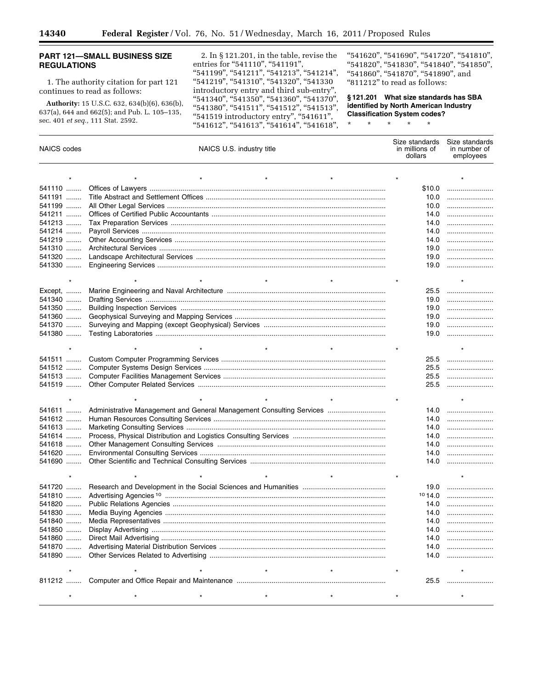▀

# **PART 121—SMALL BUSINESS SIZE REGULATIONS**

1. The authority citation for part 121 continues to read as follows:

**Authority:** 15 U.S.C. 632, 634(b)(6), 636(b), 637(a), 644 and 662(5); and Pub. L. 105–135, sec. 401 *et seq.,* 111 Stat. 2592.

2. In § 121.201, in the table, revise the entries for "541110", "541191", "541199", "541211", "541213", "541214", ''541219'', ''541310'', ''541320'', ''541330 introductory entry and third sub-entry'', "541340", "541350", "541360", "541370", ''541380'', ''541511'', ''541512'', ''541513'', ''541519 introductory entry'', ''541611'', ''541612'', ''541613'', ''541614'', ''541618'',

''541620'', ''541690'', ''541720'', ''541810'', ''541820'', ''541830'', ''541840'', ''541850'', ''541860'', ''541870'', ''541890'', and ''811212'' to read as follows:

**§ 121.201 What size standards has SBA identified by North American Industry Classification System codes?** 

\* \* \* \* \*

| <b>NAICS</b> codes | NAICS U.S. industry title                                            | Size standards<br>in millions of<br>dollars | Size standards<br>in number of<br>employees |
|--------------------|----------------------------------------------------------------------|---------------------------------------------|---------------------------------------------|
|                    |                                                                      |                                             |                                             |
| 541110             |                                                                      | \$10.0                                      |                                             |
| 541191             |                                                                      |                                             | 10.0                                        |
| 541199             |                                                                      | 10.0                                        |                                             |
| 541211             |                                                                      | 14.0                                        |                                             |
| 541213             |                                                                      | 14.0                                        |                                             |
| 541214             |                                                                      | 14.0                                        |                                             |
| 541219             |                                                                      | 14.0                                        |                                             |
| 541310             |                                                                      | 19.0                                        |                                             |
| 541320             |                                                                      | 19.0                                        |                                             |
| 541330             |                                                                      | 19.0                                        |                                             |
|                    |                                                                      |                                             |                                             |
|                    | $\star$                                                              |                                             | $\star$                                     |
| Except,            |                                                                      | 25.5                                        |                                             |
| 541340             |                                                                      | 19.0                                        |                                             |
| 541350             |                                                                      | 19.0                                        |                                             |
| 541360             |                                                                      | 19.0                                        |                                             |
| 541370             |                                                                      | 19.0                                        |                                             |
| 541380             |                                                                      | 19.0                                        |                                             |
|                    |                                                                      |                                             |                                             |
| 541511             |                                                                      | 25.5                                        |                                             |
| 541512             |                                                                      | 25.5                                        |                                             |
| 541513             |                                                                      | 25.5                                        |                                             |
| 541519             |                                                                      | 25.5                                        |                                             |
|                    |                                                                      |                                             |                                             |
| 541611             |                                                                      | 14.0                                        |                                             |
| 541612             | Administrative Management and General Management Consulting Services |                                             | 14.0                                        |
| 541613             |                                                                      | 14.0                                        |                                             |
| 541614             |                                                                      | 14.0                                        |                                             |
| 541618             |                                                                      | 14.0                                        |                                             |
| 541620             |                                                                      | 14.0                                        |                                             |
| 541690             |                                                                      | 14.0                                        |                                             |
|                    |                                                                      |                                             |                                             |
|                    |                                                                      |                                             |                                             |
| 541720             |                                                                      | 19.0                                        |                                             |
| 541810             |                                                                      | 1014.0                                      |                                             |
| 541820             |                                                                      | 14.0                                        |                                             |
| 541830             |                                                                      | 14.0                                        |                                             |
| 541840             |                                                                      | 14.0                                        |                                             |
| 541850             |                                                                      | 14.0                                        |                                             |
| 541860             |                                                                      | 14.0                                        |                                             |
| 541870             |                                                                      | 14.0                                        |                                             |
| 541890             |                                                                      | 14.0                                        |                                             |
|                    |                                                                      |                                             |                                             |
|                    |                                                                      | 25.5                                        |                                             |
|                    |                                                                      |                                             |                                             |
|                    |                                                                      |                                             |                                             |